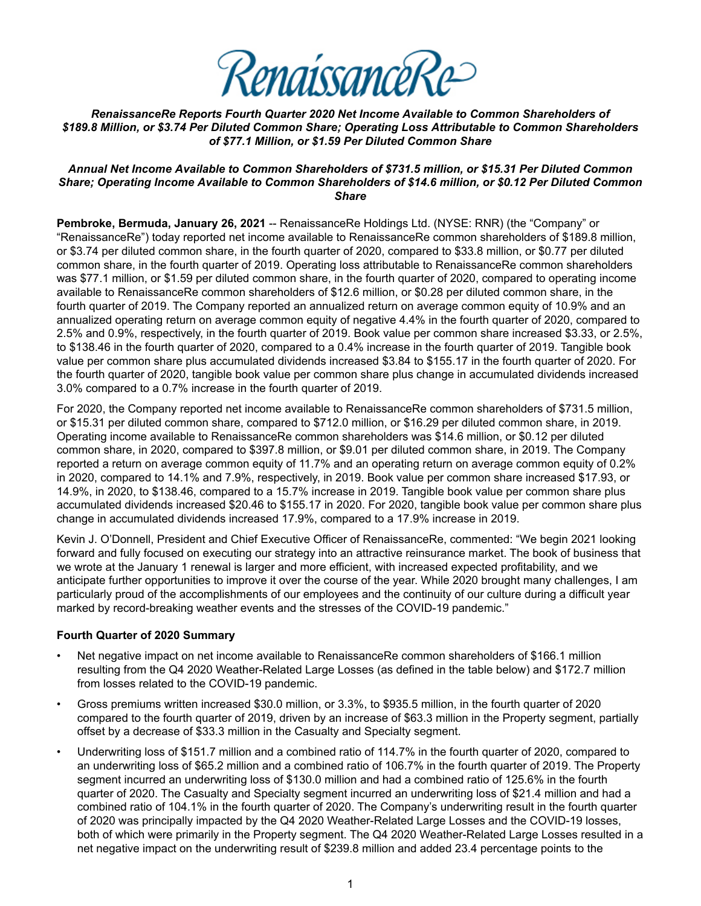

*RenaissanceRe Reports Fourth Quarter 2020 Net Income Available to Common Shareholders of \$189.8 Million, or \$3.74 Per Diluted Common Share; Operating Loss Attributable to Common Shareholders of \$77.1 Million, or \$1.59 Per Diluted Common Share* 

#### *Annual Net Income Available to Common Shareholders of \$731.5 million, or \$15.31 Per Diluted Common Share; Operating Income Available to Common Shareholders of \$14.6 million, or \$0.12 Per Diluted Common Share*

**Pembroke, Bermuda, January 26, 2021** -- RenaissanceRe Holdings Ltd. (NYSE: RNR) (the "Company" or "RenaissanceRe") today reported net income available to RenaissanceRe common shareholders of \$189.8 million, or \$3.74 per diluted common share, in the fourth quarter of 2020, compared to \$33.8 million, or \$0.77 per diluted common share, in the fourth quarter of 2019. Operating loss attributable to RenaissanceRe common shareholders was \$77.1 million, or \$1.59 per diluted common share, in the fourth quarter of 2020, compared to operating income available to RenaissanceRe common shareholders of \$12.6 million, or \$0.28 per diluted common share, in the fourth quarter of 2019. The Company reported an annualized return on average common equity of 10.9% and an annualized operating return on average common equity of negative 4.4% in the fourth quarter of 2020, compared to 2.5% and 0.9%, respectively, in the fourth quarter of 2019. Book value per common share increased \$3.33, or 2.5%, to \$138.46 in the fourth quarter of 2020, compared to a 0.4% increase in the fourth quarter of 2019. Tangible book value per common share plus accumulated dividends increased \$3.84 to \$155.17 in the fourth quarter of 2020. For the fourth quarter of 2020, tangible book value per common share plus change in accumulated dividends increased 3.0% compared to a 0.7% increase in the fourth quarter of 2019.

For 2020, the Company reported net income available to RenaissanceRe common shareholders of \$731.5 million, or \$15.31 per diluted common share, compared to \$712.0 million, or \$16.29 per diluted common share, in 2019. Operating income available to RenaissanceRe common shareholders was \$14.6 million, or \$0.12 per diluted common share, in 2020, compared to \$397.8 million, or \$9.01 per diluted common share, in 2019. The Company reported a return on average common equity of 11.7% and an operating return on average common equity of 0.2% in 2020, compared to 14.1% and 7.9%, respectively, in 2019. Book value per common share increased \$17.93, or 14.9%, in 2020, to \$138.46, compared to a 15.7% increase in 2019. Tangible book value per common share plus accumulated dividends increased \$20.46 to \$155.17 in 2020. For 2020, tangible book value per common share plus change in accumulated dividends increased 17.9%, compared to a 17.9% increase in 2019.

Kevin J. O'Donnell, President and Chief Executive Officer of RenaissanceRe, commented: "We begin 2021 looking forward and fully focused on executing our strategy into an attractive reinsurance market. The book of business that we wrote at the January 1 renewal is larger and more efficient, with increased expected profitability, and we anticipate further opportunities to improve it over the course of the year. While 2020 brought many challenges, I am particularly proud of the accomplishments of our employees and the continuity of our culture during a difficult year marked by record-breaking weather events and the stresses of the COVID-19 pandemic."

#### **Fourth Quarter of 2020 Summary**

- Net negative impact on net income available to RenaissanceRe common shareholders of \$166.1 million resulting from the Q4 2020 Weather-Related Large Losses (as defined in the table below) and \$172.7 million from losses related to the COVID-19 pandemic.
- Gross premiums written increased \$30.0 million, or 3.3%, to \$935.5 million, in the fourth quarter of 2020 compared to the fourth quarter of 2019, driven by an increase of \$63.3 million in the Property segment, partially offset by a decrease of \$33.3 million in the Casualty and Specialty segment.
- Underwriting loss of \$151.7 million and a combined ratio of 114.7% in the fourth quarter of 2020, compared to an underwriting loss of \$65.2 million and a combined ratio of 106.7% in the fourth quarter of 2019. The Property segment incurred an underwriting loss of \$130.0 million and had a combined ratio of 125.6% in the fourth quarter of 2020. The Casualty and Specialty segment incurred an underwriting loss of \$21.4 million and had a combined ratio of 104.1% in the fourth quarter of 2020. The Company's underwriting result in the fourth quarter of 2020 was principally impacted by the Q4 2020 Weather-Related Large Losses and the COVID-19 losses, both of which were primarily in the Property segment. The Q4 2020 Weather-Related Large Losses resulted in a net negative impact on the underwriting result of \$239.8 million and added 23.4 percentage points to the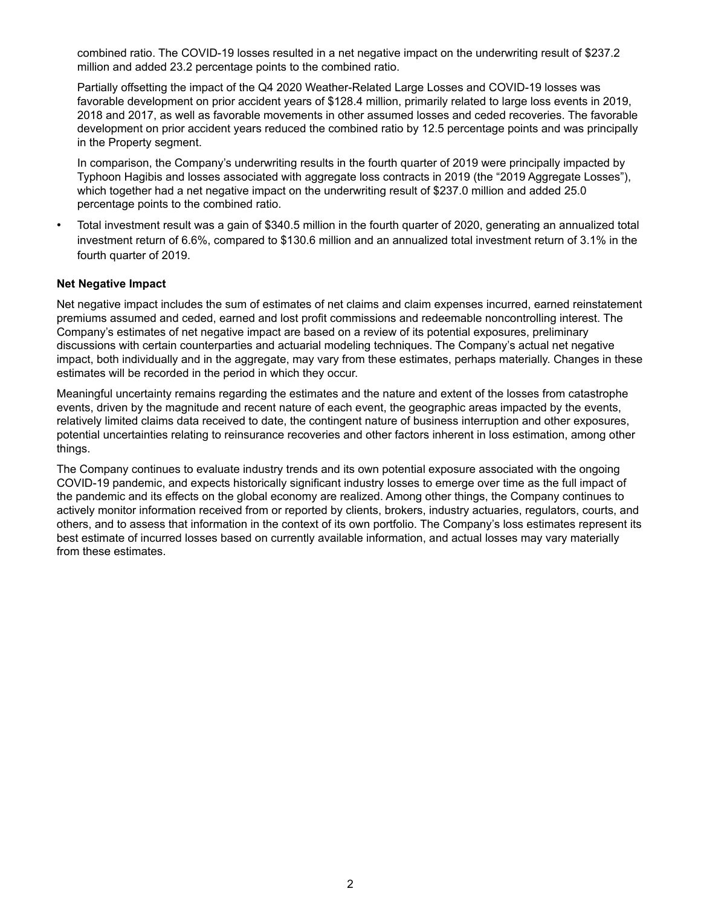combined ratio. The COVID-19 losses resulted in a net negative impact on the underwriting result of \$237.2 million and added 23.2 percentage points to the combined ratio.

Partially offsetting the impact of the Q4 2020 Weather-Related Large Losses and COVID-19 losses was favorable development on prior accident years of \$128.4 million, primarily related to large loss events in 2019, 2018 and 2017, as well as favorable movements in other assumed losses and ceded recoveries. The favorable development on prior accident years reduced the combined ratio by 12.5 percentage points and was principally in the Property segment.

In comparison, the Company's underwriting results in the fourth quarter of 2019 were principally impacted by Typhoon Hagibis and losses associated with aggregate loss contracts in 2019 (the "2019 Aggregate Losses"), which together had a net negative impact on the underwriting result of \$237.0 million and added 25.0 percentage points to the combined ratio.

• Total investment result was a gain of \$340.5 million in the fourth quarter of 2020, generating an annualized total investment return of 6.6%, compared to \$130.6 million and an annualized total investment return of 3.1% in the fourth quarter of 2019.

#### **Net Negative Impact**

Net negative impact includes the sum of estimates of net claims and claim expenses incurred, earned reinstatement premiums assumed and ceded, earned and lost profit commissions and redeemable noncontrolling interest. The Company's estimates of net negative impact are based on a review of its potential exposures, preliminary discussions with certain counterparties and actuarial modeling techniques. The Company's actual net negative impact, both individually and in the aggregate, may vary from these estimates, perhaps materially. Changes in these estimates will be recorded in the period in which they occur.

Meaningful uncertainty remains regarding the estimates and the nature and extent of the losses from catastrophe events, driven by the magnitude and recent nature of each event, the geographic areas impacted by the events, relatively limited claims data received to date, the contingent nature of business interruption and other exposures, potential uncertainties relating to reinsurance recoveries and other factors inherent in loss estimation, among other things.

The Company continues to evaluate industry trends and its own potential exposure associated with the ongoing COVID-19 pandemic, and expects historically significant industry losses to emerge over time as the full impact of the pandemic and its effects on the global economy are realized. Among other things, the Company continues to actively monitor information received from or reported by clients, brokers, industry actuaries, regulators, courts, and others, and to assess that information in the context of its own portfolio. The Company's loss estimates represent its best estimate of incurred losses based on currently available information, and actual losses may vary materially from these estimates.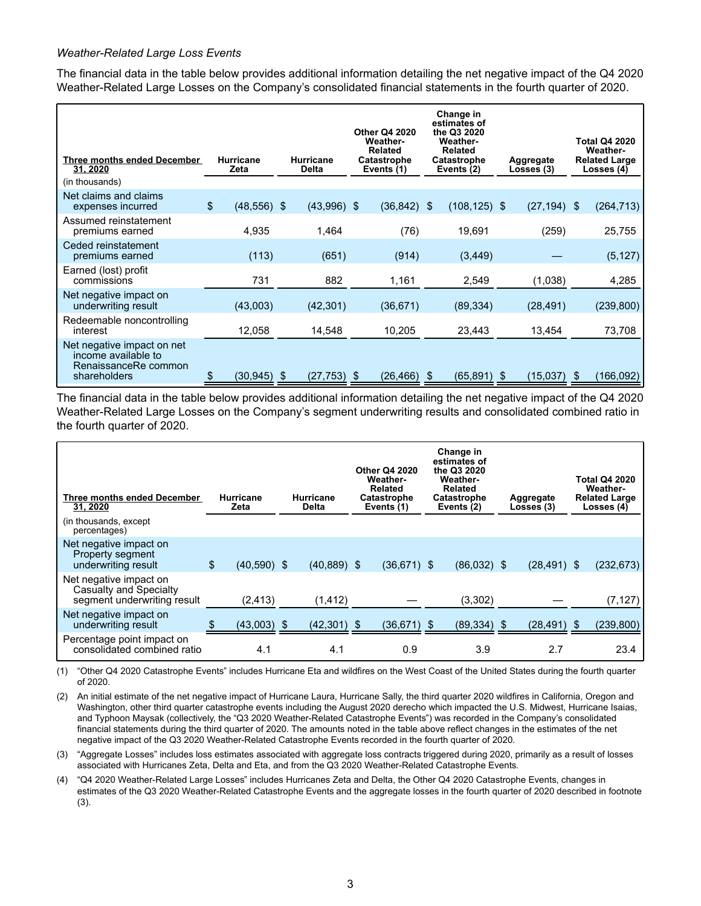#### *Weather-Related Large Loss Events*

The financial data in the table below provides additional information detailing the net negative impact of the Q4 2020 Weather-Related Large Losses on the Company's consolidated financial statements in the fourth quarter of 2020.

| <b>Three months ended December</b><br>31, 2020                                            | <b>Hurricane</b><br>Zeta |  | <b>Hurricane</b><br><b>Delta</b> |    | <b>Other Q4 2020</b><br><b>Weather-</b><br><b>Related</b><br>Catastrophe<br>Events (1) | Change in<br>estimates of<br>the Q3 2020<br><b>Weather-</b><br><b>Related</b><br><b>Catastrophe</b><br>Events (2) |     | Aggregate<br>Losses (3) |    |            |  |  |  |  |  |  |  | <b>Total Q4 2020</b><br><b>Weather-</b><br><b>Related Large</b><br>Losses (4) |
|-------------------------------------------------------------------------------------------|--------------------------|--|----------------------------------|----|----------------------------------------------------------------------------------------|-------------------------------------------------------------------------------------------------------------------|-----|-------------------------|----|------------|--|--|--|--|--|--|--|-------------------------------------------------------------------------------|
| (in thousands)                                                                            |                          |  |                                  |    |                                                                                        |                                                                                                                   |     |                         |    |            |  |  |  |  |  |  |  |                                                                               |
| Net claims and claims<br>expenses incurred                                                | \$<br>$(48,556)$ \$      |  | $(43,996)$ \$                    |    | $(36, 842)$ \$                                                                         | $(108, 125)$ \$                                                                                                   |     | $(27, 194)$ \$          |    | (264, 713) |  |  |  |  |  |  |  |                                                                               |
| Assumed reinstatement<br>premiums earned                                                  | 4,935                    |  | 1,464                            |    | (76)                                                                                   | 19,691                                                                                                            |     | (259)                   |    | 25,755     |  |  |  |  |  |  |  |                                                                               |
| Ceded reinstatement<br>premiums earned                                                    | (113)                    |  | (651)                            |    | (914)                                                                                  | (3, 449)                                                                                                          |     |                         |    | (5, 127)   |  |  |  |  |  |  |  |                                                                               |
| Earned (lost) profit<br>commissions                                                       | 731                      |  | 882                              |    | 1,161                                                                                  | 2,549                                                                                                             |     | (1,038)                 |    | 4,285      |  |  |  |  |  |  |  |                                                                               |
| Net negative impact on<br>underwriting result                                             | (43,003)                 |  | (42, 301)                        |    | (36, 671)                                                                              | (89, 334)                                                                                                         |     | (28, 491)               |    | (239, 800) |  |  |  |  |  |  |  |                                                                               |
| Redeemable noncontrolling<br>interest                                                     | 12,058                   |  | 14,548                           |    | 10,205                                                                                 | 23,443                                                                                                            |     | 13,454                  |    | 73,708     |  |  |  |  |  |  |  |                                                                               |
| Net negative impact on net<br>income available to<br>RenaissanceRe common<br>shareholders | (30,945)                 |  | (27, 753)                        | -S | (26,466)                                                                               | \$<br>(65, 891)                                                                                                   | \$. | (15,037)                | -S | (166,092   |  |  |  |  |  |  |  |                                                                               |

The financial data in the table below provides additional information detailing the net negative impact of the Q4 2020 Weather-Related Large Losses on the Company's segment underwriting results and consolidated combined ratio in the fourth quarter of 2020.

| Three months ended December<br>31, 2020<br>(in thousands, except<br>percentages)       | <b>Hurricane</b><br>Zeta | <b>Hurricane</b><br>Delta | <b>Other Q4 2020</b><br><b>Weather-</b><br>Related<br>Catastrophe<br>Events (1) | Change in<br>estimates of<br>the Q3 2020<br><b>Weather-</b><br>Related<br><b>Catastrophe</b><br>Events (2) |    | Aggregate<br>Losses (3) |    | <b>Total Q4 2020</b><br>Weather-<br><b>Related Large</b><br>Losses (4) |
|----------------------------------------------------------------------------------------|--------------------------|---------------------------|---------------------------------------------------------------------------------|------------------------------------------------------------------------------------------------------------|----|-------------------------|----|------------------------------------------------------------------------|
| Net negative impact on<br>Property segment<br>underwriting result                      | \$<br>$(40,590)$ \$      | $(40, 889)$ \$            | $(36,671)$ \$                                                                   | $(86,032)$ \$                                                                                              |    | $(28, 491)$ \$          |    | (232, 673)                                                             |
| Net negative impact on<br><b>Casualty and Specialty</b><br>segment underwriting result | (2, 413)                 | (1, 412)                  |                                                                                 | (3,302)                                                                                                    |    |                         |    | (7, 127)                                                               |
| Net negative impact on<br>underwriting result                                          | $(43,003)$ \$            | $(42,301)$ \$             | (36,671) \$                                                                     | (89, 334)                                                                                                  | S. | (28, 491)               | S. | (239, 800)                                                             |
| Percentage point impact on<br>consolidated combined ratio                              | 4.1                      | 4.1                       | 0.9                                                                             | 3.9                                                                                                        |    | 2.7                     |    | 23.4                                                                   |

(1) "Other Q4 2020 Catastrophe Events" includes Hurricane Eta and wildfires on the West Coast of the United States during the fourth quarter of 2020.

(2) An initial estimate of the net negative impact of Hurricane Laura, Hurricane Sally, the third quarter 2020 wildfires in California, Oregon and Washington, other third quarter catastrophe events including the August 2020 derecho which impacted the U.S. Midwest, Hurricane Isaias, and Typhoon Maysak (collectively, the "Q3 2020 Weather-Related Catastrophe Events") was recorded in the Company's consolidated financial statements during the third quarter of 2020. The amounts noted in the table above reflect changes in the estimates of the net negative impact of the Q3 2020 Weather-Related Catastrophe Events recorded in the fourth quarter of 2020.

(3) "Aggregate Losses" includes loss estimates associated with aggregate loss contracts triggered during 2020, primarily as a result of losses associated with Hurricanes Zeta, Delta and Eta, and from the Q3 2020 Weather-Related Catastrophe Events.

(4) "Q4 2020 Weather-Related Large Losses" includes Hurricanes Zeta and Delta, the Other Q4 2020 Catastrophe Events, changes in estimates of the Q3 2020 Weather-Related Catastrophe Events and the aggregate losses in the fourth quarter of 2020 described in footnote (3).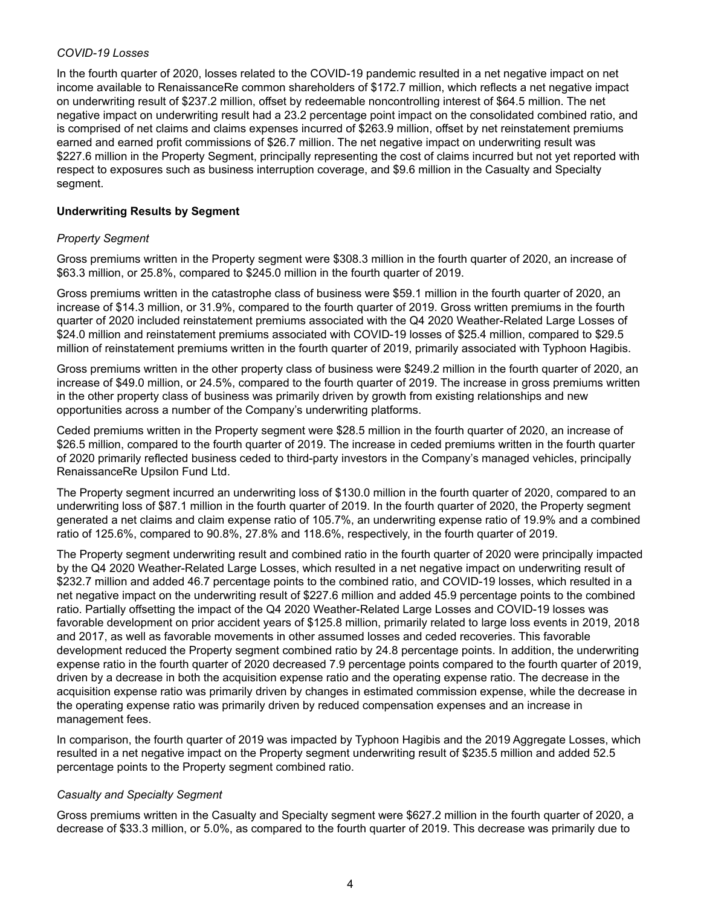#### *COVID-19 Losses*

In the fourth quarter of 2020, losses related to the COVID-19 pandemic resulted in a net negative impact on net income available to RenaissanceRe common shareholders of \$172.7 million, which reflects a net negative impact on underwriting result of \$237.2 million, offset by redeemable noncontrolling interest of \$64.5 million. The net negative impact on underwriting result had a 23.2 percentage point impact on the consolidated combined ratio, and is comprised of net claims and claims expenses incurred of \$263.9 million, offset by net reinstatement premiums earned and earned profit commissions of \$26.7 million. The net negative impact on underwriting result was \$227.6 million in the Property Segment, principally representing the cost of claims incurred but not yet reported with respect to exposures such as business interruption coverage, and \$9.6 million in the Casualty and Specialty segment.

### **Underwriting Results by Segment**

### *Property Segment*

Gross premiums written in the Property segment were \$308.3 million in the fourth quarter of 2020, an increase of \$63.3 million, or 25.8%, compared to \$245.0 million in the fourth quarter of 2019.

Gross premiums written in the catastrophe class of business were \$59.1 million in the fourth quarter of 2020, an increase of \$14.3 million, or 31.9%, compared to the fourth quarter of 2019. Gross written premiums in the fourth quarter of 2020 included reinstatement premiums associated with the Q4 2020 Weather-Related Large Losses of \$24.0 million and reinstatement premiums associated with COVID-19 losses of \$25.4 million, compared to \$29.5 million of reinstatement premiums written in the fourth quarter of 2019, primarily associated with Typhoon Hagibis.

Gross premiums written in the other property class of business were \$249.2 million in the fourth quarter of 2020, an increase of \$49.0 million, or 24.5%, compared to the fourth quarter of 2019. The increase in gross premiums written in the other property class of business was primarily driven by growth from existing relationships and new opportunities across a number of the Company's underwriting platforms.

Ceded premiums written in the Property segment were \$28.5 million in the fourth quarter of 2020, an increase of \$26.5 million, compared to the fourth quarter of 2019. The increase in ceded premiums written in the fourth quarter of 2020 primarily reflected business ceded to third-party investors in the Company's managed vehicles, principally RenaissanceRe Upsilon Fund Ltd.

The Property segment incurred an underwriting loss of \$130.0 million in the fourth quarter of 2020, compared to an underwriting loss of \$87.1 million in the fourth quarter of 2019. In the fourth quarter of 2020, the Property segment generated a net claims and claim expense ratio of 105.7%, an underwriting expense ratio of 19.9% and a combined ratio of 125.6%, compared to 90.8%, 27.8% and 118.6%, respectively, in the fourth quarter of 2019.

The Property segment underwriting result and combined ratio in the fourth quarter of 2020 were principally impacted by the Q4 2020 Weather-Related Large Losses, which resulted in a net negative impact on underwriting result of \$232.7 million and added 46.7 percentage points to the combined ratio, and COVID-19 losses, which resulted in a net negative impact on the underwriting result of \$227.6 million and added 45.9 percentage points to the combined ratio. Partially offsetting the impact of the Q4 2020 Weather-Related Large Losses and COVID-19 losses was favorable development on prior accident years of \$125.8 million, primarily related to large loss events in 2019, 2018 and 2017, as well as favorable movements in other assumed losses and ceded recoveries. This favorable development reduced the Property segment combined ratio by 24.8 percentage points. In addition, the underwriting expense ratio in the fourth quarter of 2020 decreased 7.9 percentage points compared to the fourth quarter of 2019, driven by a decrease in both the acquisition expense ratio and the operating expense ratio. The decrease in the acquisition expense ratio was primarily driven by changes in estimated commission expense, while the decrease in the operating expense ratio was primarily driven by reduced compensation expenses and an increase in management fees.

In comparison, the fourth quarter of 2019 was impacted by Typhoon Hagibis and the 2019 Aggregate Losses, which resulted in a net negative impact on the Property segment underwriting result of \$235.5 million and added 52.5 percentage points to the Property segment combined ratio.

#### *Casualty and Specialty Segment*

Gross premiums written in the Casualty and Specialty segment were \$627.2 million in the fourth quarter of 2020, a decrease of \$33.3 million, or 5.0%, as compared to the fourth quarter of 2019. This decrease was primarily due to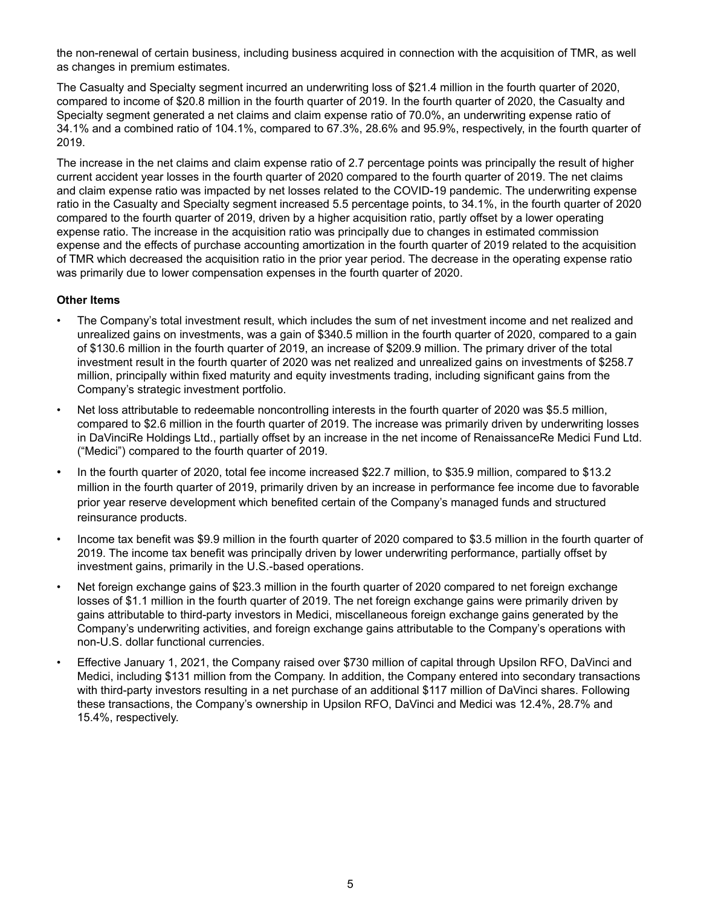the non-renewal of certain business, including business acquired in connection with the acquisition of TMR, as well as changes in premium estimates.

The Casualty and Specialty segment incurred an underwriting loss of \$21.4 million in the fourth quarter of 2020, compared to income of \$20.8 million in the fourth quarter of 2019. In the fourth quarter of 2020, the Casualty and Specialty segment generated a net claims and claim expense ratio of 70.0%, an underwriting expense ratio of 34.1% and a combined ratio of 104.1%, compared to 67.3%, 28.6% and 95.9%, respectively, in the fourth quarter of 2019.

The increase in the net claims and claim expense ratio of 2.7 percentage points was principally the result of higher current accident year losses in the fourth quarter of 2020 compared to the fourth quarter of 2019. The net claims and claim expense ratio was impacted by net losses related to the COVID-19 pandemic. The underwriting expense ratio in the Casualty and Specialty segment increased 5.5 percentage points, to 34.1%, in the fourth quarter of 2020 compared to the fourth quarter of 2019, driven by a higher acquisition ratio, partly offset by a lower operating expense ratio. The increase in the acquisition ratio was principally due to changes in estimated commission expense and the effects of purchase accounting amortization in the fourth quarter of 2019 related to the acquisition of TMR which decreased the acquisition ratio in the prior year period. The decrease in the operating expense ratio was primarily due to lower compensation expenses in the fourth quarter of 2020.

#### **Other Items**

- The Company's total investment result, which includes the sum of net investment income and net realized and unrealized gains on investments, was a gain of \$340.5 million in the fourth quarter of 2020, compared to a gain of \$130.6 million in the fourth quarter of 2019, an increase of \$209.9 million. The primary driver of the total investment result in the fourth quarter of 2020 was net realized and unrealized gains on investments of \$258.7 million, principally within fixed maturity and equity investments trading, including significant gains from the Company's strategic investment portfolio.
- Net loss attributable to redeemable noncontrolling interests in the fourth quarter of 2020 was \$5.5 million, compared to \$2.6 million in the fourth quarter of 2019. The increase was primarily driven by underwriting losses in DaVinciRe Holdings Ltd., partially offset by an increase in the net income of RenaissanceRe Medici Fund Ltd. ("Medici") compared to the fourth quarter of 2019.
- In the fourth quarter of 2020, total fee income increased \$22.7 million, to \$35.9 million, compared to \$13.2 million in the fourth quarter of 2019, primarily driven by an increase in performance fee income due to favorable prior year reserve development which benefited certain of the Company's managed funds and structured reinsurance products.
- Income tax benefit was \$9.9 million in the fourth quarter of 2020 compared to \$3.5 million in the fourth quarter of 2019. The income tax benefit was principally driven by lower underwriting performance, partially offset by investment gains, primarily in the U.S.-based operations.
- Net foreign exchange gains of \$23.3 million in the fourth quarter of 2020 compared to net foreign exchange losses of \$1.1 million in the fourth quarter of 2019. The net foreign exchange gains were primarily driven by gains attributable to third-party investors in Medici, miscellaneous foreign exchange gains generated by the Company's underwriting activities, and foreign exchange gains attributable to the Company's operations with non-U.S. dollar functional currencies.
- Effective January 1, 2021, the Company raised over \$730 million of capital through Upsilon RFO, DaVinci and Medici, including \$131 million from the Company. In addition, the Company entered into secondary transactions with third-party investors resulting in a net purchase of an additional \$117 million of DaVinci shares. Following these transactions, the Company's ownership in Upsilon RFO, DaVinci and Medici was 12.4%, 28.7% and 15.4%, respectively.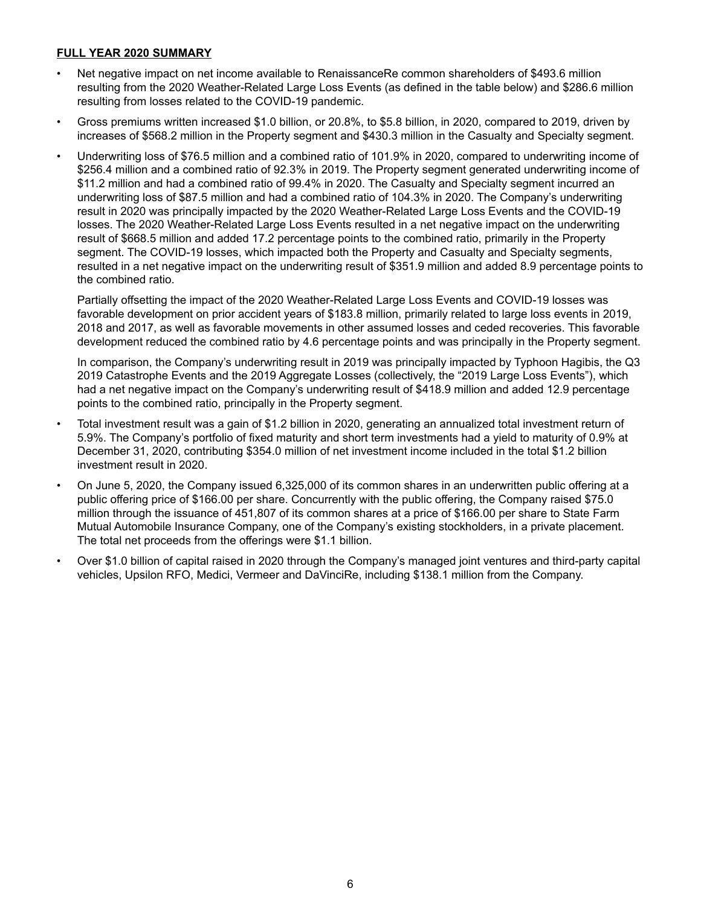#### **FULL YEAR 2020 SUMMARY**

- Net negative impact on net income available to RenaissanceRe common shareholders of \$493.6 million resulting from the 2020 Weather-Related Large Loss Events (as defined in the table below) and \$286.6 million resulting from losses related to the COVID-19 pandemic.
- Gross premiums written increased \$1.0 billion, or 20.8%, to \$5.8 billion, in 2020, compared to 2019, driven by increases of \$568.2 million in the Property segment and \$430.3 million in the Casualty and Specialty segment.
- Underwriting loss of \$76.5 million and a combined ratio of 101.9% in 2020, compared to underwriting income of \$256.4 million and a combined ratio of 92.3% in 2019. The Property segment generated underwriting income of \$11.2 million and had a combined ratio of 99.4% in 2020. The Casualty and Specialty segment incurred an underwriting loss of \$87.5 million and had a combined ratio of 104.3% in 2020. The Company's underwriting result in 2020 was principally impacted by the 2020 Weather-Related Large Loss Events and the COVID-19 losses. The 2020 Weather-Related Large Loss Events resulted in a net negative impact on the underwriting result of \$668.5 million and added 17.2 percentage points to the combined ratio, primarily in the Property segment. The COVID-19 losses, which impacted both the Property and Casualty and Specialty segments, resulted in a net negative impact on the underwriting result of \$351.9 million and added 8.9 percentage points to the combined ratio.

Partially offsetting the impact of the 2020 Weather-Related Large Loss Events and COVID-19 losses was favorable development on prior accident years of \$183.8 million, primarily related to large loss events in 2019, 2018 and 2017, as well as favorable movements in other assumed losses and ceded recoveries. This favorable development reduced the combined ratio by 4.6 percentage points and was principally in the Property segment.

In comparison, the Company's underwriting result in 2019 was principally impacted by Typhoon Hagibis, the Q3 2019 Catastrophe Events and the 2019 Aggregate Losses (collectively, the "2019 Large Loss Events"), which had a net negative impact on the Company's underwriting result of \$418.9 million and added 12.9 percentage points to the combined ratio, principally in the Property segment.

- Total investment result was a gain of \$1.2 billion in 2020, generating an annualized total investment return of 5.9%. The Company's portfolio of fixed maturity and short term investments had a yield to maturity of 0.9% at December 31, 2020, contributing \$354.0 million of net investment income included in the total \$1.2 billion investment result in 2020.
- On June 5, 2020, the Company issued 6,325,000 of its common shares in an underwritten public offering at a public offering price of \$166.00 per share. Concurrently with the public offering, the Company raised \$75.0 million through the issuance of 451,807 of its common shares at a price of \$166.00 per share to State Farm Mutual Automobile Insurance Company, one of the Company's existing stockholders, in a private placement. The total net proceeds from the offerings were \$1.1 billion.
- Over \$1.0 billion of capital raised in 2020 through the Company's managed joint ventures and third-party capital vehicles, Upsilon RFO, Medici, Vermeer and DaVinciRe, including \$138.1 million from the Company.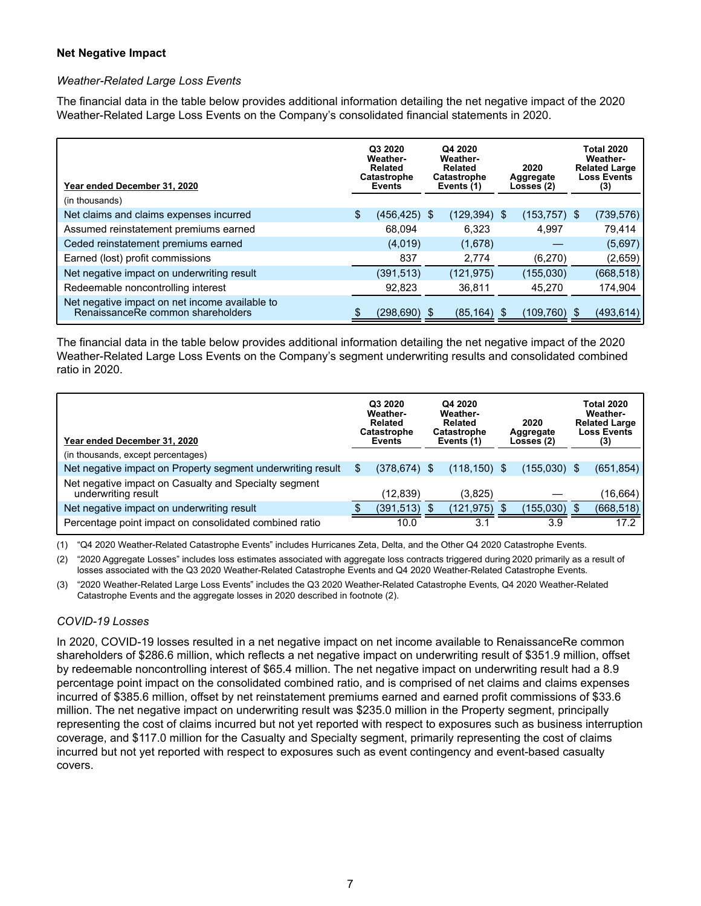#### **Net Negative Impact**

#### *Weather-Related Large Loss Events*

The financial data in the table below provides additional information detailing the net negative impact of the 2020 Weather-Related Large Loss Events on the Company's consolidated financial statements in 2020.

| Year ended December 31, 2020                                                        | Q3 2020<br><b>Weather-</b><br>Related<br><b>Catastrophe</b><br>Events | Q4 2020<br><b>Weather-</b><br>Related<br>Catastrophe<br>Events (1) | 2020<br>Aggregate<br>Losses (2) | <b>Total 2020</b><br>Weather-<br><b>Related Large</b><br><b>Loss Events</b><br>(3) |
|-------------------------------------------------------------------------------------|-----------------------------------------------------------------------|--------------------------------------------------------------------|---------------------------------|------------------------------------------------------------------------------------|
| (in thousands)                                                                      |                                                                       |                                                                    |                                 |                                                                                    |
| Net claims and claims expenses incurred                                             | \$<br>$(456, 425)$ \$                                                 | $(129, 394)$ \$                                                    | $(153, 757)$ \$                 | (739, 576)                                                                         |
| Assumed reinstatement premiums earned                                               | 68.094                                                                | 6.323                                                              | 4.997                           | 79,414                                                                             |
| Ceded reinstatement premiums earned                                                 | (4,019)                                                               | (1,678)                                                            |                                 | (5,697)                                                                            |
| Earned (lost) profit commissions                                                    | 837                                                                   | 2,774                                                              | (6,270)                         | (2,659)                                                                            |
| Net negative impact on underwriting result                                          | (391, 513)                                                            | (121, 975)                                                         | (155,030)                       | (668, 518)                                                                         |
| Redeemable noncontrolling interest                                                  | 92,823                                                                | 36.811                                                             | 45.270                          | 174.904                                                                            |
| Net negative impact on net income available to<br>RenaissanceRe common shareholders | $(298, 690)$ \$                                                       | (85, 164)                                                          | \$<br>(109,760)                 | (493, 614)                                                                         |

The financial data in the table below provides additional information detailing the net negative impact of the 2020 Weather-Related Large Loss Events on the Company's segment underwriting results and consolidated combined ratio in 2020.

| Year ended December 31, 2020<br>(in thousands, except percentages)           | Q3 2020<br><b>Weather-</b><br><b>Related</b><br>Catastrophe<br>Events | Q4 2020<br>Weather-<br><b>Related</b><br><b>Catastrophe</b><br>Events (1) | 2020<br>Aggregate<br>Losses (2) |     | <b>Total 2020</b><br>Weather-<br><b>Related Large</b><br><b>Loss Events</b><br>(3) |
|------------------------------------------------------------------------------|-----------------------------------------------------------------------|---------------------------------------------------------------------------|---------------------------------|-----|------------------------------------------------------------------------------------|
| Net negative impact on Property segment underwriting result                  | \$<br>$(378, 674)$ \$                                                 | $(118, 150)$ \$                                                           | $(155,030)$ \$                  |     | (651, 854)                                                                         |
| Net negative impact on Casualty and Specialty segment<br>underwriting result | (12,839)                                                              | (3,825)                                                                   |                                 |     | (16,664)                                                                           |
| Net negative impact on underwriting result                                   | (391, 513)                                                            | (121, 975)                                                                | (155,030)                       | \$. | (668, 518)                                                                         |
| Percentage point impact on consolidated combined ratio                       | 10.0                                                                  | 3.1                                                                       | 3.9                             |     | 17.2                                                                               |

(1) "Q4 2020 Weather-Related Catastrophe Events" includes Hurricanes Zeta, Delta, and the Other Q4 2020 Catastrophe Events.

(2) "2020 Aggregate Losses" includes loss estimates associated with aggregate loss contracts triggered during 2020 primarily as a result of losses associated with the Q3 2020 Weather-Related Catastrophe Events and Q4 2020 Weather-Related Catastrophe Events.

(3) "2020 Weather-Related Large Loss Events" includes the Q3 2020 Weather-Related Catastrophe Events, Q4 2020 Weather-Related Catastrophe Events and the aggregate losses in 2020 described in footnote (2).

#### *COVID-19 Losses*

In 2020, COVID-19 losses resulted in a net negative impact on net income available to RenaissanceRe common shareholders of \$286.6 million, which reflects a net negative impact on underwriting result of \$351.9 million, offset by redeemable noncontrolling interest of \$65.4 million. The net negative impact on underwriting result had a 8.9 percentage point impact on the consolidated combined ratio, and is comprised of net claims and claims expenses incurred of \$385.6 million, offset by net reinstatement premiums earned and earned profit commissions of \$33.6 million. The net negative impact on underwriting result was \$235.0 million in the Property segment, principally representing the cost of claims incurred but not yet reported with respect to exposures such as business interruption coverage, and \$117.0 million for the Casualty and Specialty segment, primarily representing the cost of claims incurred but not yet reported with respect to exposures such as event contingency and event-based casualty covers.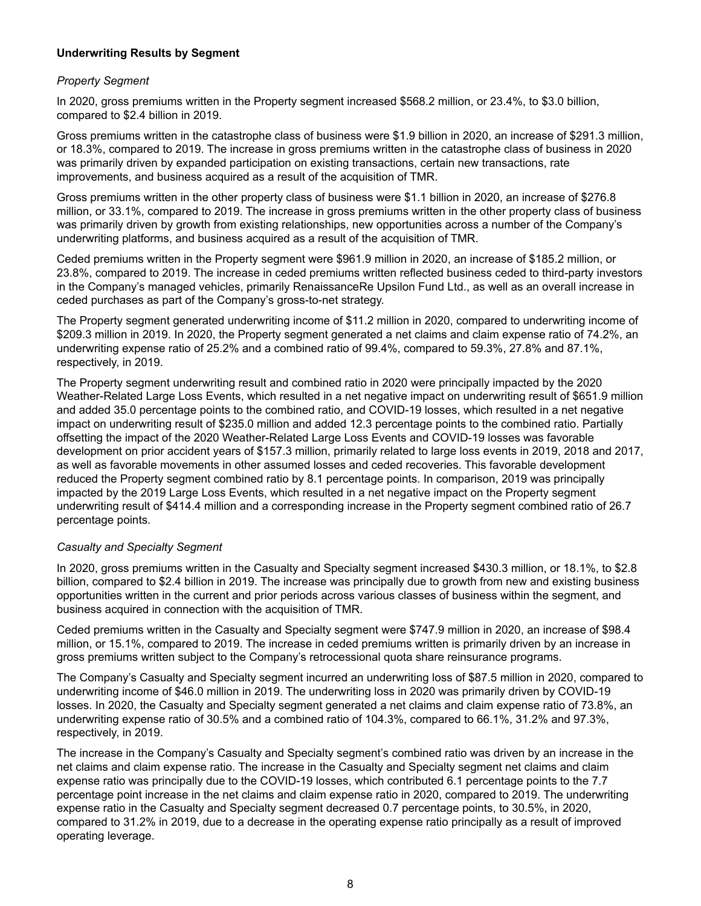#### **Underwriting Results by Segment**

#### *Property Segment*

In 2020, gross premiums written in the Property segment increased \$568.2 million, or 23.4%, to \$3.0 billion, compared to \$2.4 billion in 2019.

Gross premiums written in the catastrophe class of business were \$1.9 billion in 2020, an increase of \$291.3 million, or 18.3%, compared to 2019. The increase in gross premiums written in the catastrophe class of business in 2020 was primarily driven by expanded participation on existing transactions, certain new transactions, rate improvements, and business acquired as a result of the acquisition of TMR.

Gross premiums written in the other property class of business were \$1.1 billion in 2020, an increase of \$276.8 million, or 33.1%, compared to 2019. The increase in gross premiums written in the other property class of business was primarily driven by growth from existing relationships, new opportunities across a number of the Company's underwriting platforms, and business acquired as a result of the acquisition of TMR.

Ceded premiums written in the Property segment were \$961.9 million in 2020, an increase of \$185.2 million, or 23.8%, compared to 2019. The increase in ceded premiums written reflected business ceded to third-party investors in the Company's managed vehicles, primarily RenaissanceRe Upsilon Fund Ltd., as well as an overall increase in ceded purchases as part of the Company's gross-to-net strategy.

The Property segment generated underwriting income of \$11.2 million in 2020, compared to underwriting income of \$209.3 million in 2019. In 2020, the Property segment generated a net claims and claim expense ratio of 74.2%, an underwriting expense ratio of 25.2% and a combined ratio of 99.4%, compared to 59.3%, 27.8% and 87.1%, respectively, in 2019.

The Property segment underwriting result and combined ratio in 2020 were principally impacted by the 2020 Weather-Related Large Loss Events, which resulted in a net negative impact on underwriting result of \$651.9 million and added 35.0 percentage points to the combined ratio, and COVID-19 losses, which resulted in a net negative impact on underwriting result of \$235.0 million and added 12.3 percentage points to the combined ratio. Partially offsetting the impact of the 2020 Weather-Related Large Loss Events and COVID-19 losses was favorable development on prior accident years of \$157.3 million, primarily related to large loss events in 2019, 2018 and 2017, as well as favorable movements in other assumed losses and ceded recoveries. This favorable development reduced the Property segment combined ratio by 8.1 percentage points. In comparison, 2019 was principally impacted by the 2019 Large Loss Events, which resulted in a net negative impact on the Property segment underwriting result of \$414.4 million and a corresponding increase in the Property segment combined ratio of 26.7 percentage points.

#### *Casualty and Specialty Segment*

In 2020, gross premiums written in the Casualty and Specialty segment increased \$430.3 million, or 18.1%, to \$2.8 billion, compared to \$2.4 billion in 2019. The increase was principally due to growth from new and existing business opportunities written in the current and prior periods across various classes of business within the segment, and business acquired in connection with the acquisition of TMR.

Ceded premiums written in the Casualty and Specialty segment were \$747.9 million in 2020, an increase of \$98.4 million, or 15.1%, compared to 2019. The increase in ceded premiums written is primarily driven by an increase in gross premiums written subject to the Company's retrocessional quota share reinsurance programs.

The Company's Casualty and Specialty segment incurred an underwriting loss of \$87.5 million in 2020, compared to underwriting income of \$46.0 million in 2019. The underwriting loss in 2020 was primarily driven by COVID-19 losses. In 2020, the Casualty and Specialty segment generated a net claims and claim expense ratio of 73.8%, an underwriting expense ratio of 30.5% and a combined ratio of 104.3%, compared to 66.1%, 31.2% and 97.3%, respectively, in 2019.

The increase in the Company's Casualty and Specialty segment's combined ratio was driven by an increase in the net claims and claim expense ratio. The increase in the Casualty and Specialty segment net claims and claim expense ratio was principally due to the COVID-19 losses, which contributed 6.1 percentage points to the 7.7 percentage point increase in the net claims and claim expense ratio in 2020, compared to 2019. The underwriting expense ratio in the Casualty and Specialty segment decreased 0.7 percentage points, to 30.5%, in 2020, compared to 31.2% in 2019, due to a decrease in the operating expense ratio principally as a result of improved operating leverage.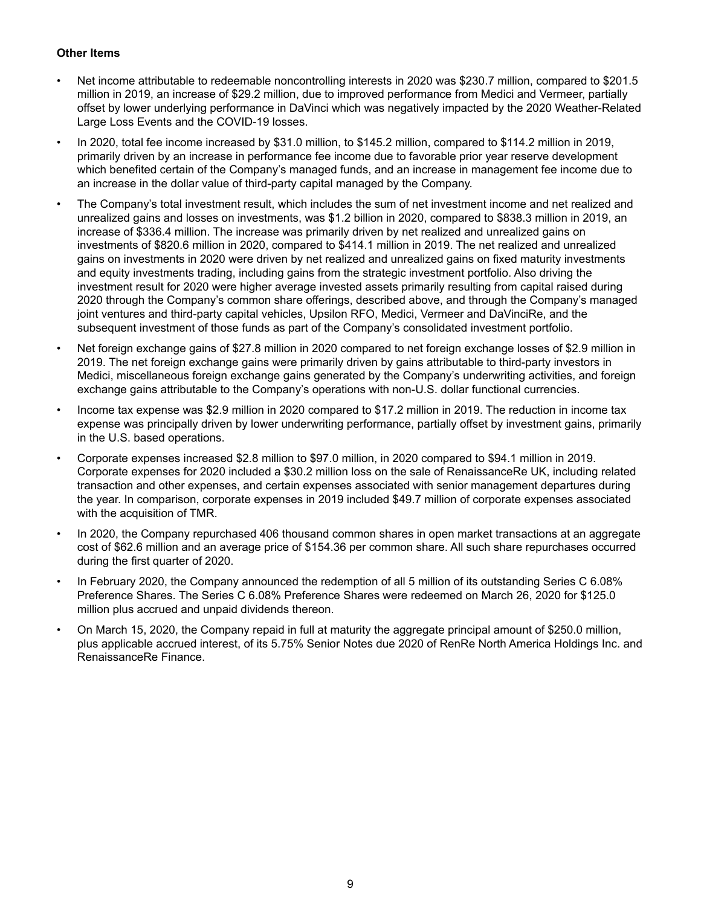#### **Other Items**

- Net income attributable to redeemable noncontrolling interests in 2020 was \$230.7 million, compared to \$201.5 million in 2019, an increase of \$29.2 million, due to improved performance from Medici and Vermeer, partially offset by lower underlying performance in DaVinci which was negatively impacted by the 2020 Weather-Related Large Loss Events and the COVID-19 losses.
- In 2020, total fee income increased by \$31.0 million, to \$145.2 million, compared to \$114.2 million in 2019, primarily driven by an increase in performance fee income due to favorable prior year reserve development which benefited certain of the Company's managed funds, and an increase in management fee income due to an increase in the dollar value of third-party capital managed by the Company.
- The Company's total investment result, which includes the sum of net investment income and net realized and unrealized gains and losses on investments, was \$1.2 billion in 2020, compared to \$838.3 million in 2019, an increase of \$336.4 million. The increase was primarily driven by net realized and unrealized gains on investments of \$820.6 million in 2020, compared to \$414.1 million in 2019. The net realized and unrealized gains on investments in 2020 were driven by net realized and unrealized gains on fixed maturity investments and equity investments trading, including gains from the strategic investment portfolio. Also driving the investment result for 2020 were higher average invested assets primarily resulting from capital raised during 2020 through the Company's common share offerings, described above, and through the Company's managed joint ventures and third-party capital vehicles, Upsilon RFO, Medici, Vermeer and DaVinciRe, and the subsequent investment of those funds as part of the Company's consolidated investment portfolio.
- Net foreign exchange gains of \$27.8 million in 2020 compared to net foreign exchange losses of \$2.9 million in 2019. The net foreign exchange gains were primarily driven by gains attributable to third-party investors in Medici, miscellaneous foreign exchange gains generated by the Company's underwriting activities, and foreign exchange gains attributable to the Company's operations with non-U.S. dollar functional currencies.
- Income tax expense was \$2.9 million in 2020 compared to \$17.2 million in 2019. The reduction in income tax expense was principally driven by lower underwriting performance, partially offset by investment gains, primarily in the U.S. based operations.
- Corporate expenses increased \$2.8 million to \$97.0 million, in 2020 compared to \$94.1 million in 2019. Corporate expenses for 2020 included a \$30.2 million loss on the sale of RenaissanceRe UK, including related transaction and other expenses, and certain expenses associated with senior management departures during the year. In comparison, corporate expenses in 2019 included \$49.7 million of corporate expenses associated with the acquisition of TMR.
- In 2020, the Company repurchased 406 thousand common shares in open market transactions at an aggregate cost of \$62.6 million and an average price of \$154.36 per common share. All such share repurchases occurred during the first quarter of 2020.
- In February 2020, the Company announced the redemption of all 5 million of its outstanding Series C 6.08% Preference Shares. The Series C 6.08% Preference Shares were redeemed on March 26, 2020 for \$125.0 million plus accrued and unpaid dividends thereon.
- On March 15, 2020, the Company repaid in full at maturity the aggregate principal amount of \$250.0 million, plus applicable accrued interest, of its 5.75% Senior Notes due 2020 of RenRe North America Holdings Inc. and RenaissanceRe Finance.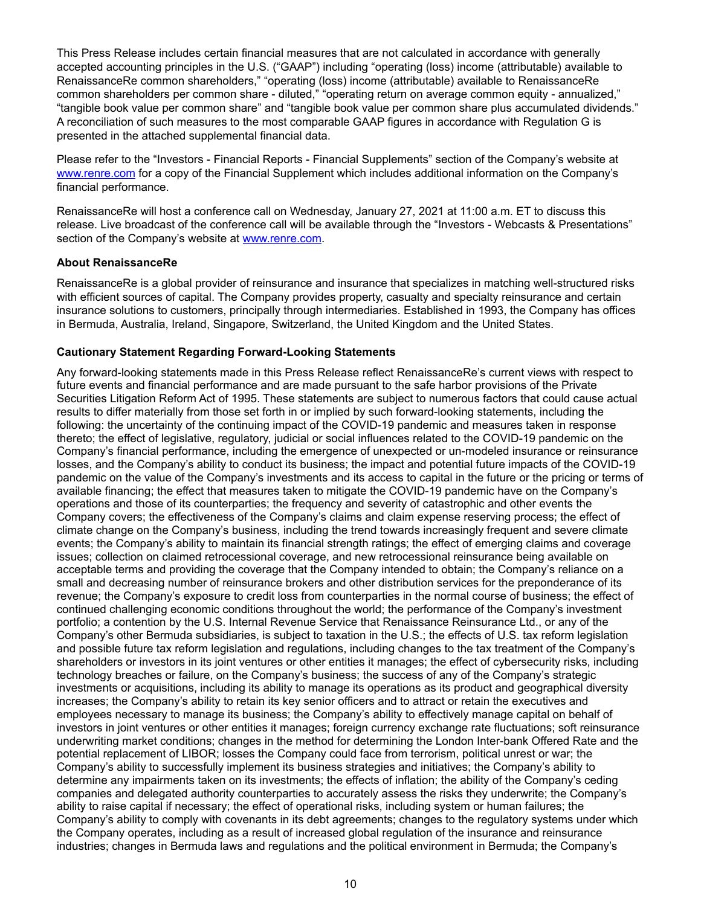This Press Release includes certain financial measures that are not calculated in accordance with generally accepted accounting principles in the U.S. ("GAAP") including "operating (loss) income (attributable) available to RenaissanceRe common shareholders," "operating (loss) income (attributable) available to RenaissanceRe common shareholders per common share - diluted," "operating return on average common equity - annualized," "tangible book value per common share" and "tangible book value per common share plus accumulated dividends." A reconciliation of such measures to the most comparable GAAP figures in accordance with Regulation G is presented in the attached supplemental financial data.

Please refer to the "Investors - Financial Reports - Financial Supplements" section of the Company's website at www.renre.com for a copy of the Financial Supplement which includes additional information on the Company's financial performance.

RenaissanceRe will host a conference call on Wednesday, January 27, 2021 at 11:00 a.m. ET to discuss this release. Live broadcast of the conference call will be available through the "Investors - Webcasts & Presentations" section of the Company's website at www.renre.com.

#### **About RenaissanceRe**

RenaissanceRe is a global provider of reinsurance and insurance that specializes in matching well-structured risks with efficient sources of capital. The Company provides property, casualty and specialty reinsurance and certain insurance solutions to customers, principally through intermediaries. Established in 1993, the Company has offices in Bermuda, Australia, Ireland, Singapore, Switzerland, the United Kingdom and the United States.

#### **Cautionary Statement Regarding Forward-Looking Statements**

Any forward-looking statements made in this Press Release reflect RenaissanceRe's current views with respect to future events and financial performance and are made pursuant to the safe harbor provisions of the Private Securities Litigation Reform Act of 1995. These statements are subject to numerous factors that could cause actual results to differ materially from those set forth in or implied by such forward-looking statements, including the following: the uncertainty of the continuing impact of the COVID-19 pandemic and measures taken in response thereto; the effect of legislative, regulatory, judicial or social influences related to the COVID-19 pandemic on the Company's financial performance, including the emergence of unexpected or un-modeled insurance or reinsurance losses, and the Company's ability to conduct its business; the impact and potential future impacts of the COVID-19 pandemic on the value of the Company's investments and its access to capital in the future or the pricing or terms of available financing; the effect that measures taken to mitigate the COVID-19 pandemic have on the Company's operations and those of its counterparties; the frequency and severity of catastrophic and other events the Company covers; the effectiveness of the Company's claims and claim expense reserving process; the effect of climate change on the Company's business, including the trend towards increasingly frequent and severe climate events; the Company's ability to maintain its financial strength ratings; the effect of emerging claims and coverage issues; collection on claimed retrocessional coverage, and new retrocessional reinsurance being available on acceptable terms and providing the coverage that the Company intended to obtain; the Company's reliance on a small and decreasing number of reinsurance brokers and other distribution services for the preponderance of its revenue; the Company's exposure to credit loss from counterparties in the normal course of business; the effect of continued challenging economic conditions throughout the world; the performance of the Company's investment portfolio; a contention by the U.S. Internal Revenue Service that Renaissance Reinsurance Ltd., or any of the Company's other Bermuda subsidiaries, is subject to taxation in the U.S.; the effects of U.S. tax reform legislation and possible future tax reform legislation and regulations, including changes to the tax treatment of the Company's shareholders or investors in its joint ventures or other entities it manages; the effect of cybersecurity risks, including technology breaches or failure, on the Company's business; the success of any of the Company's strategic investments or acquisitions, including its ability to manage its operations as its product and geographical diversity increases; the Company's ability to retain its key senior officers and to attract or retain the executives and employees necessary to manage its business; the Company's ability to effectively manage capital on behalf of investors in joint ventures or other entities it manages; foreign currency exchange rate fluctuations; soft reinsurance underwriting market conditions; changes in the method for determining the London Inter-bank Offered Rate and the potential replacement of LIBOR; losses the Company could face from terrorism, political unrest or war; the Company's ability to successfully implement its business strategies and initiatives; the Company's ability to determine any impairments taken on its investments; the effects of inflation; the ability of the Company's ceding companies and delegated authority counterparties to accurately assess the risks they underwrite; the Company's ability to raise capital if necessary; the effect of operational risks, including system or human failures; the Company's ability to comply with covenants in its debt agreements; changes to the regulatory systems under which the Company operates, including as a result of increased global regulation of the insurance and reinsurance industries; changes in Bermuda laws and regulations and the political environment in Bermuda; the Company's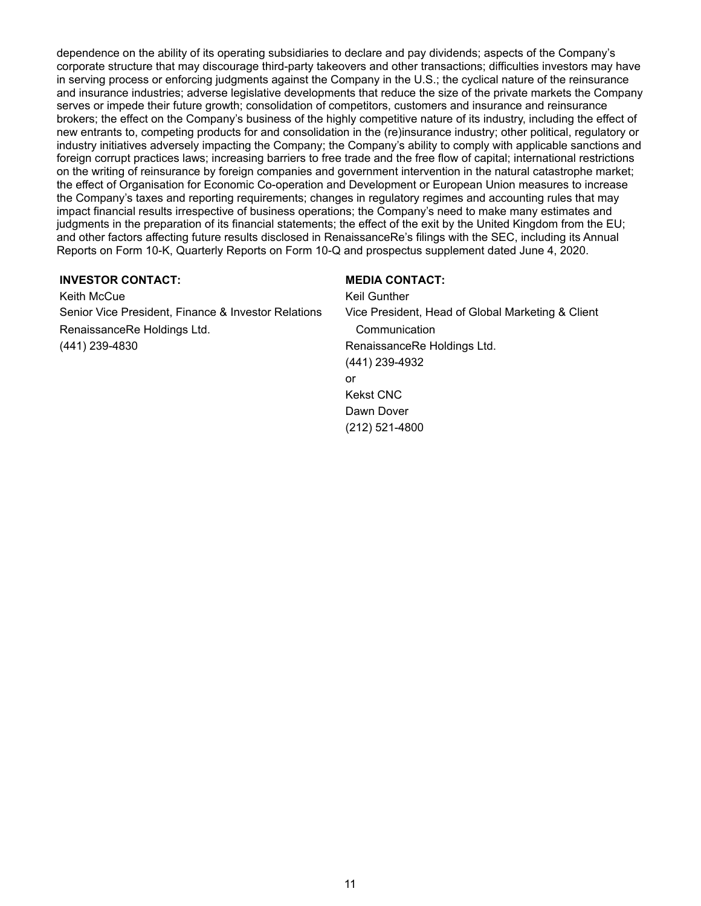dependence on the ability of its operating subsidiaries to declare and pay dividends; aspects of the Company's corporate structure that may discourage third-party takeovers and other transactions; difficulties investors may have in serving process or enforcing judgments against the Company in the U.S.; the cyclical nature of the reinsurance and insurance industries; adverse legislative developments that reduce the size of the private markets the Company serves or impede their future growth; consolidation of competitors, customers and insurance and reinsurance brokers; the effect on the Company's business of the highly competitive nature of its industry, including the effect of new entrants to, competing products for and consolidation in the (re)insurance industry; other political, regulatory or industry initiatives adversely impacting the Company; the Company's ability to comply with applicable sanctions and foreign corrupt practices laws; increasing barriers to free trade and the free flow of capital; international restrictions on the writing of reinsurance by foreign companies and government intervention in the natural catastrophe market; the effect of Organisation for Economic Co-operation and Development or European Union measures to increase the Company's taxes and reporting requirements; changes in regulatory regimes and accounting rules that may impact financial results irrespective of business operations; the Company's need to make many estimates and judgments in the preparation of its financial statements; the effect of the exit by the United Kingdom from the EU; and other factors affecting future results disclosed in RenaissanceRe's filings with the SEC, including its Annual Reports on Form 10-K, Quarterly Reports on Form 10-Q and prospectus supplement dated June 4, 2020.

#### **INVESTOR CONTACT: MEDIA CONTACT:**

Keith McCue **Keil Gunther** Keil Gunther Senior Vice President, Finance & Investor Relations Vice President, Head of Global Marketing & Client RenaissanceRe Holdings Ltd. Communication (441) 239-4830 RenaissanceRe Holdings Ltd.

(441) 239-4932 or Kekst CNC Dawn Dover (212) 521-4800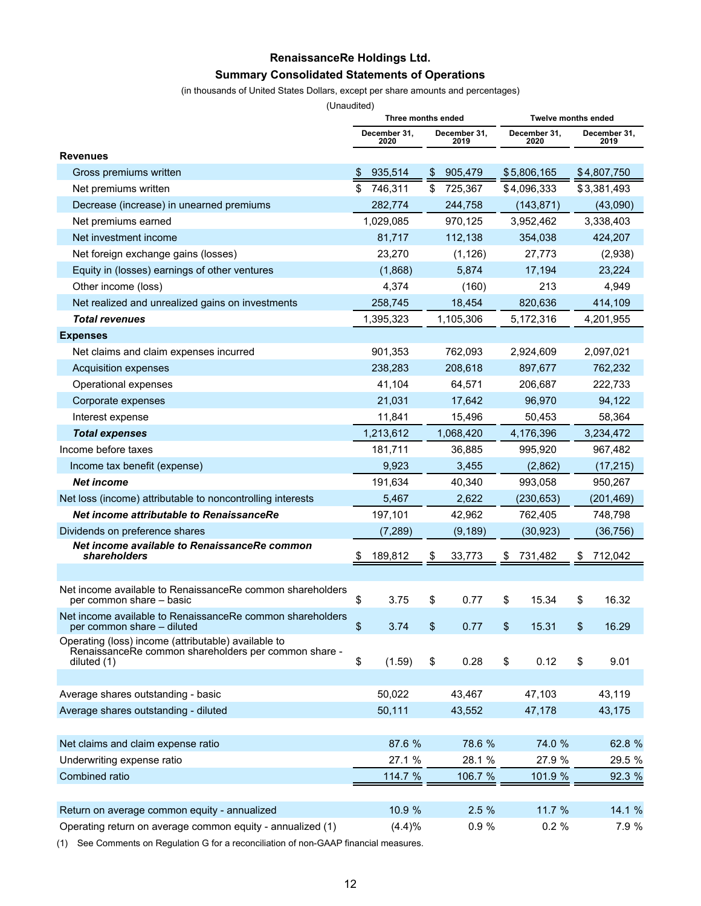## **RenaissanceRe Holdings Ltd. Summary Consolidated Statements of Operations**

#### (in thousands of United States Dollars, except per share amounts and percentages)

(Unaudited)

|                                                                                                             | Three months ended |                      |    |                      | <b>Twelve months ended</b> |                      |    |                      |  |
|-------------------------------------------------------------------------------------------------------------|--------------------|----------------------|----|----------------------|----------------------------|----------------------|----|----------------------|--|
|                                                                                                             |                    | December 31.<br>2020 |    | December 31,<br>2019 |                            | December 31,<br>2020 |    | December 31,<br>2019 |  |
| <b>Revenues</b>                                                                                             |                    |                      |    |                      |                            |                      |    |                      |  |
| Gross premiums written                                                                                      | \$                 | 935,514              | \$ | 905,479              |                            | \$5,806,165          |    | \$4,807,750          |  |
| Net premiums written                                                                                        | \$                 | 746,311              | \$ | 725,367              |                            | \$4,096,333          |    | \$3,381,493          |  |
| Decrease (increase) in unearned premiums                                                                    |                    | 282,774              |    | 244,758              |                            | (143, 871)           |    | (43,090)             |  |
| Net premiums earned                                                                                         |                    | 1,029,085            |    | 970,125              |                            | 3,952,462            |    | 3,338,403            |  |
| Net investment income                                                                                       |                    | 81,717               |    | 112,138              |                            | 354,038              |    | 424,207              |  |
| Net foreign exchange gains (losses)                                                                         |                    | 23,270               |    | (1, 126)             |                            | 27,773               |    | (2,938)              |  |
| Equity in (losses) earnings of other ventures                                                               |                    | (1,868)              |    | 5,874                |                            | 17,194               |    | 23,224               |  |
| Other income (loss)                                                                                         |                    | 4,374                |    | (160)                |                            | 213                  |    | 4,949                |  |
| Net realized and unrealized gains on investments                                                            |                    | 258,745              |    | 18,454               |                            | 820,636              |    | 414,109              |  |
| <b>Total revenues</b>                                                                                       |                    | 1,395,323            |    | 1,105,306            |                            | 5,172,316            |    | 4,201,955            |  |
| <b>Expenses</b>                                                                                             |                    |                      |    |                      |                            |                      |    |                      |  |
| Net claims and claim expenses incurred                                                                      |                    | 901,353              |    | 762,093              |                            | 2,924,609            |    | 2,097,021            |  |
| <b>Acquisition expenses</b>                                                                                 |                    | 238,283              |    | 208,618              |                            | 897,677              |    | 762,232              |  |
| Operational expenses                                                                                        |                    | 41,104               |    | 64,571               |                            | 206,687              |    | 222,733              |  |
| Corporate expenses                                                                                          |                    | 21,031               |    | 17,642               |                            | 96,970               |    | 94,122               |  |
| Interest expense                                                                                            |                    | 11,841               |    | 15,496               |                            | 50,453               |    | 58,364               |  |
| <b>Total expenses</b>                                                                                       |                    | 1,213,612            |    | 1,068,420            |                            | 4,176,396            |    | 3,234,472            |  |
| Income before taxes                                                                                         |                    | 181,711              |    | 36,885               |                            | 995,920              |    | 967,482              |  |
| Income tax benefit (expense)                                                                                |                    | 9,923                |    | 3,455                |                            | (2,862)              |    | (17, 215)            |  |
| <b>Net income</b>                                                                                           |                    | 191,634              |    | 40,340               |                            | 993,058              |    | 950,267              |  |
| Net loss (income) attributable to noncontrolling interests                                                  |                    | 5,467                |    | 2,622                |                            | (230, 653)           |    | (201, 469)           |  |
| Net income attributable to RenaissanceRe                                                                    |                    | 197,101              |    | 42,962               |                            | 762,405              |    | 748,798              |  |
| Dividends on preference shares                                                                              |                    | (7,289)              |    | (9, 189)             |                            | (30, 923)            |    | (36, 756)            |  |
| Net income available to RenaissanceRe common<br>shareholders                                                | P.                 | 189,812              | \$ | 33,773               | \$                         | 731,482              | \$ | 712,042              |  |
|                                                                                                             |                    |                      |    |                      |                            |                      |    |                      |  |
| Net income available to RenaissanceRe common shareholders<br>per common share - basic                       | \$                 | 3.75                 | \$ | 0.77                 | \$                         | 15.34                | \$ | 16.32                |  |
| Net income available to RenaissanceRe common shareholders<br>per common share - diluted                     | \$                 | 3.74                 | \$ | 0.77                 | \$                         | 15.31                | \$ | 16.29                |  |
| Operating (loss) income (attributable) available to<br>RenaissanceRe common shareholders per common share - |                    |                      |    |                      |                            |                      |    |                      |  |
| diluted (1)                                                                                                 | \$                 | (1.59)               | \$ | 0.28                 | \$                         | 0.12                 | \$ | 9.01                 |  |
| Average shares outstanding - basic                                                                          |                    | 50,022               |    | 43,467               |                            | 47,103               |    | 43,119               |  |
| Average shares outstanding - diluted                                                                        |                    | 50,111               |    | 43,552               |                            | 47,178               |    | 43,175               |  |
|                                                                                                             |                    |                      |    |                      |                            |                      |    |                      |  |
| Net claims and claim expense ratio                                                                          |                    | 87.6 %               |    | 78.6 %               |                            | 74.0 %               |    | 62.8 %               |  |
| Underwriting expense ratio                                                                                  |                    | 27.1 %               |    | 28.1 %               |                            | 27.9 %               |    | 29.5 %               |  |
| Combined ratio                                                                                              |                    | 114.7 %              |    | 106.7 %              |                            | 101.9 %              |    | 92.3 %               |  |
|                                                                                                             |                    |                      |    |                      |                            |                      |    |                      |  |
| Return on average common equity - annualized                                                                |                    | 10.9 %               |    | 2.5 %                |                            | 11.7 %               |    | 14.1 %               |  |
| Operating return on average common equity - annualized (1)                                                  |                    | (4.4)%               |    | 0.9%                 |                            | 0.2%                 |    | 7.9 %                |  |

(1) See Comments on Regulation G for a reconciliation of non-GAAP financial measures.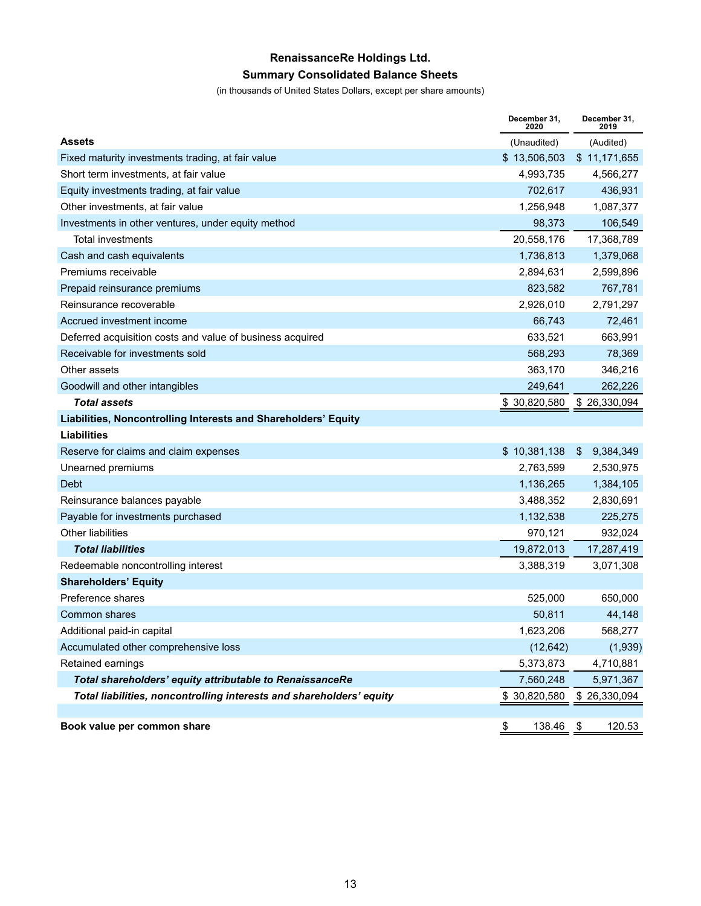# **RenaissanceRe Holdings Ltd.**

## **Summary Consolidated Balance Sheets**

(in thousands of United States Dollars, except per share amounts)

|                                                                      | December 31,<br>2020 | December 31,<br>2019 |
|----------------------------------------------------------------------|----------------------|----------------------|
| <b>Assets</b>                                                        | (Unaudited)          | (Audited)            |
| Fixed maturity investments trading, at fair value                    | \$13,506,503         | \$11,171,655         |
| Short term investments, at fair value                                | 4,993,735            | 4,566,277            |
| Equity investments trading, at fair value                            | 702,617              | 436,931              |
| Other investments, at fair value                                     | 1,256,948            | 1,087,377            |
| Investments in other ventures, under equity method                   | 98,373               | 106,549              |
| <b>Total investments</b>                                             | 20,558,176           | 17,368,789           |
| Cash and cash equivalents                                            | 1,736,813            | 1,379,068            |
| Premiums receivable                                                  | 2,894,631            | 2,599,896            |
| Prepaid reinsurance premiums                                         | 823,582              | 767,781              |
| Reinsurance recoverable                                              | 2,926,010            | 2,791,297            |
| Accrued investment income                                            | 66,743               | 72,461               |
| Deferred acquisition costs and value of business acquired            | 633,521              | 663,991              |
| Receivable for investments sold                                      | 568,293              | 78,369               |
| Other assets                                                         | 363,170              | 346,216              |
| Goodwill and other intangibles                                       | 249,641              | 262,226              |
| <b>Total assets</b>                                                  | \$30,820,580         | \$26,330,094         |
| Liabilities, Noncontrolling Interests and Shareholders' Equity       |                      |                      |
| <b>Liabilities</b>                                                   |                      |                      |
| Reserve for claims and claim expenses                                | \$10,381,138         | 9,384,349<br>\$      |
| Unearned premiums                                                    | 2,763,599            | 2,530,975            |
| Debt                                                                 | 1,136,265            | 1,384,105            |
| Reinsurance balances payable                                         | 3,488,352            | 2,830,691            |
| Payable for investments purchased                                    | 1,132,538            | 225,275              |
| <b>Other liabilities</b>                                             | 970,121              | 932,024              |
| <b>Total liabilities</b>                                             | 19,872,013           | 17,287,419           |
| Redeemable noncontrolling interest                                   | 3,388,319            | 3,071,308            |
| <b>Shareholders' Equity</b>                                          |                      |                      |
| Preference shares                                                    | 525,000              | 650,000              |
| Common shares                                                        | 50,811               | 44,148               |
| Additional paid-in capital                                           | 1,623,206            | 568,277              |
| Accumulated other comprehensive loss                                 | (12, 642)            | (1,939)              |
| Retained earnings                                                    | 5,373,873            | 4,710,881            |
| Total shareholders' equity attributable to RenaissanceRe             | 7,560,248            | 5,971,367            |
| Total liabilities, noncontrolling interests and shareholders' equity | \$30,820,580         | \$26,330,094         |
|                                                                      |                      |                      |
| Book value per common share                                          | \$<br>138.46 \$      | 120.53               |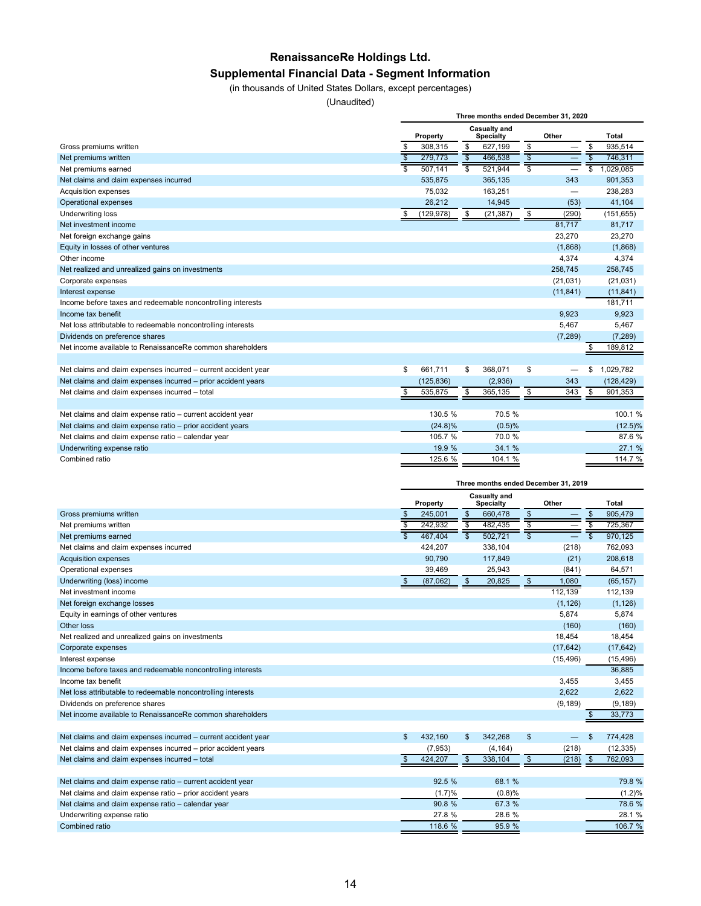## **RenaissanceRe Holdings Ltd. Supplemental Financial Data - Segment Information**

#### (in thousands of United States Dollars, except percentages)

(Unaudited)

|                                                                |                 |            |                          |                                         | Three months ended December 31, 2020 |                 |
|----------------------------------------------------------------|-----------------|------------|--------------------------|-----------------------------------------|--------------------------------------|-----------------|
|                                                                |                 | Property   |                          | <b>Casualty and</b><br><b>Specialty</b> | Other                                | Total           |
| Gross premiums written                                         | \$              | 308,315    | \$                       | 627,199                                 | \$                                   | \$<br>935,514   |
| Net premiums written                                           | $\overline{\$}$ | 279.773    | $\overline{\mathcal{S}}$ | 466.538                                 |                                      | 746,311         |
| Net premiums earned                                            | $\overline{s}$  | 507,141    | S.                       | 521,944                                 | \$                                   | \$<br>1,029,085 |
| Net claims and claim expenses incurred                         |                 | 535.875    |                          | 365.135                                 | 343                                  | 901,353         |
| Acquisition expenses                                           |                 | 75,032     |                          | 163,251                                 |                                      | 238,283         |
| Operational expenses                                           |                 | 26,212     |                          | 14.945                                  | (53)                                 | 41.104          |
| Underwriting loss                                              | \$              | (129, 978) | \$                       | (21, 387)                               | \$<br>(290)                          | (151, 655)      |
| Net investment income                                          |                 |            |                          |                                         | 81,717                               | 81,717          |
| Net foreign exchange gains                                     |                 |            |                          |                                         | 23,270                               | 23,270          |
| Equity in losses of other ventures                             |                 |            |                          |                                         | (1,868)                              | (1,868)         |
| Other income                                                   |                 |            |                          |                                         | 4,374                                | 4,374           |
| Net realized and unrealized gains on investments               |                 |            |                          |                                         | 258,745                              | 258,745         |
| Corporate expenses                                             |                 |            |                          |                                         | (21, 031)                            | (21, 031)       |
| Interest expense                                               |                 |            |                          |                                         | (11, 841)                            | (11, 841)       |
| Income before taxes and redeemable noncontrolling interests    |                 |            |                          |                                         |                                      | 181.711         |
| Income tax benefit                                             |                 |            |                          |                                         | 9,923                                | 9,923           |
| Net loss attributable to redeemable noncontrolling interests   |                 |            |                          |                                         | 5,467                                | 5,467           |
| Dividends on preference shares                                 |                 |            |                          |                                         | (7, 289)                             | (7, 289)        |
| Net income available to RenaissanceRe common shareholders      |                 |            |                          |                                         |                                      | 189,812         |
|                                                                |                 |            |                          |                                         |                                      |                 |
| Net claims and claim expenses incurred - current accident year | \$              | 661.711    | \$                       | 368,071                                 | \$                                   | \$<br>1,029,782 |
| Net claims and claim expenses incurred - prior accident years  |                 | (125, 836) |                          | (2,936)                                 | 343                                  | (128, 429)      |
| Net claims and claim expenses incurred - total                 | \$              | 535,875    | \$                       | 365,135                                 | \$<br>343                            | \$<br>901,353   |
|                                                                |                 |            |                          |                                         |                                      |                 |
| Net claims and claim expense ratio - current accident year     |                 | 130.5 %    |                          | 70.5 %                                  |                                      | 100.1%          |
| Net claims and claim expense ratio - prior accident years      |                 | $(24.8)\%$ |                          | (0.5)%                                  |                                      | $(12.5)\%$      |
| Net claims and claim expense ratio - calendar year             |                 | 105.7 %    |                          | 70.0%                                   |                                      | 87.6%           |
| Underwriting expense ratio                                     |                 | 19.9 %     |                          | 34.1 %                                  |                                      | 27.1 %          |
| Combined ratio                                                 |                 | 125.6 %    |                          | 104.1 %                                 |                                      | 114.7 %         |
|                                                                |                 |            |                          |                                         |                                      |                 |
|                                                                |                 |            |                          | Three manthe anded December             |                                      |                 |

|                                                                | Three months ended December 31, 2019 |          |               |                                  |             |    |              |
|----------------------------------------------------------------|--------------------------------------|----------|---------------|----------------------------------|-------------|----|--------------|
|                                                                |                                      | Property |               | Casualty and<br><b>Specialty</b> | Other       |    | <b>Total</b> |
| Gross premiums written                                         |                                      | 245,001  | $\sqrt[6]{3}$ | 660,478                          | \$          | \$ | 905,479      |
| Net premiums written                                           | s                                    | 242,932  |               | 482,435                          |             |    | 725,367      |
| Net premiums earned                                            |                                      | 467.404  | ड             | 502,721                          | \$          | \$ | 970,125      |
| Net claims and claim expenses incurred                         |                                      | 424,207  |               | 338,104                          | (218)       |    | 762,093      |
| <b>Acquisition expenses</b>                                    |                                      | 90,790   |               | 117,849                          | (21)        |    | 208,618      |
| Operational expenses                                           |                                      | 39,469   |               | 25,943                           | (841)       |    | 64,571       |
| Underwriting (loss) income                                     | \$                                   | (87,062) | $\sqrt[6]{3}$ | 20,825                           | \$<br>1,080 |    | (65, 157)    |
| Net investment income                                          |                                      |          |               |                                  | 112,139     |    | 112,139      |
| Net foreign exchange losses                                    |                                      |          |               |                                  | (1, 126)    |    | (1, 126)     |
| Equity in earnings of other ventures                           |                                      |          |               |                                  | 5,874       |    | 5,874        |
| Other loss                                                     |                                      |          |               |                                  | (160)       |    | (160)        |
| Net realized and unrealized gains on investments               |                                      |          |               |                                  | 18,454      |    | 18,454       |
| Corporate expenses                                             |                                      |          |               |                                  | (17, 642)   |    | (17, 642)    |
| Interest expense                                               |                                      |          |               |                                  | (15, 496)   |    | (15, 496)    |
| Income before taxes and redeemable noncontrolling interests    |                                      |          |               |                                  |             |    | 36,885       |
| Income tax benefit                                             |                                      |          |               |                                  | 3.455       |    | 3,455        |
| Net loss attributable to redeemable noncontrolling interests   |                                      |          |               |                                  | 2,622       |    | 2,622        |
| Dividends on preference shares                                 |                                      |          |               |                                  | (9, 189)    |    | (9, 189)     |
| Net income available to RenaissanceRe common shareholders      |                                      |          |               |                                  |             |    | 33,773       |
|                                                                |                                      |          |               |                                  |             |    |              |
| Net claims and claim expenses incurred - current accident year | \$                                   | 432,160  | \$            | 342,268                          | \$          | \$ | 774,428      |
| Net claims and claim expenses incurred - prior accident years  |                                      | (7,953)  |               | (4, 164)                         | (218)       |    | (12, 335)    |
| Net claims and claim expenses incurred - total                 |                                      | 424,207  | \$            | 338,104                          | \$<br>(218) | \$ | 762,093      |
|                                                                |                                      |          |               |                                  |             |    |              |
| Net claims and claim expense ratio - current accident year     |                                      | 92.5 %   |               | 68.1 %                           |             |    | 79.8 %       |
| Net claims and claim expense ratio - prior accident years      |                                      | (1.7)%   |               | (0.8)%                           |             |    | (1.2)%       |
| Net claims and claim expense ratio - calendar year             |                                      | 90.8 %   |               | 67.3 %                           |             |    | 78.6 %       |
| Underwriting expense ratio                                     |                                      | 27.8%    |               | 28.6 %                           |             |    | 28.1 %       |
| Combined ratio                                                 |                                      | 118.6 %  |               | 95.9 %                           |             |    | 106.7 %      |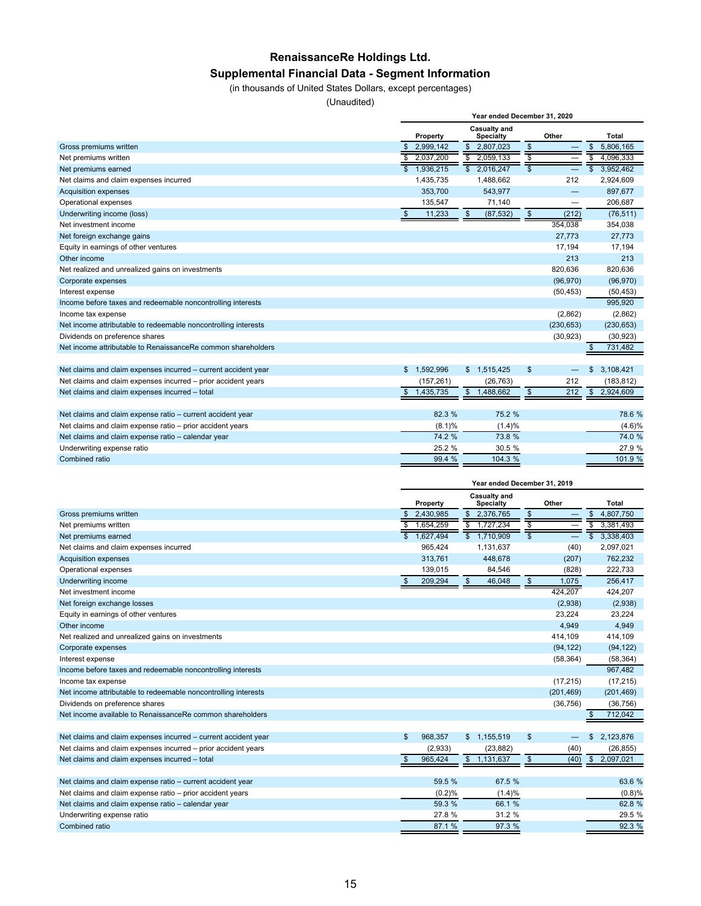## **RenaissanceRe Holdings Ltd.**

## **Supplemental Financial Data - Segment Information**

(in thousands of United States Dollars, except percentages)

(Unaudited)

|                                                                | Year ended December 31, 2020<br>Casualty and<br>Other<br>Property<br><b>Specialty</b><br>$\mathfrak s$<br>\$<br>2,999,142<br>2,807,023<br>\$<br>\$<br>\$<br>2,037,200<br>2,059,133<br>\$<br>S<br>—<br>$\overline{\mathbb{S}}$<br>\$2,016,247<br>$\overline{\mathbb{S}}$<br>1.936.215<br>1,435,735<br>1,488,662<br>212<br>353.700<br>543,977<br>135,547<br>71,140<br>$\mathfrak{S}$<br>$\sqrt[6]{\frac{1}{2}}$<br>11,233<br>\$<br>(87, 532)<br>(212)<br>354.038<br>27,773<br>17,194<br>213<br>820.636<br>(96, 970)<br>(50, 453)<br>(2,862)<br>(230, 653) |            |    |             |                         |           |               |              |  |  |
|----------------------------------------------------------------|---------------------------------------------------------------------------------------------------------------------------------------------------------------------------------------------------------------------------------------------------------------------------------------------------------------------------------------------------------------------------------------------------------------------------------------------------------------------------------------------------------------------------------------------------------|------------|----|-------------|-------------------------|-----------|---------------|--------------|--|--|
|                                                                |                                                                                                                                                                                                                                                                                                                                                                                                                                                                                                                                                         |            |    |             |                         |           |               | <b>Total</b> |  |  |
| Gross premiums written                                         |                                                                                                                                                                                                                                                                                                                                                                                                                                                                                                                                                         |            |    |             |                         |           |               | 5,806,165    |  |  |
| Net premiums written                                           |                                                                                                                                                                                                                                                                                                                                                                                                                                                                                                                                                         |            |    |             |                         |           |               | 4,096,333    |  |  |
| Net premiums earned                                            |                                                                                                                                                                                                                                                                                                                                                                                                                                                                                                                                                         |            |    |             |                         |           |               | 3,952,462    |  |  |
| Net claims and claim expenses incurred                         |                                                                                                                                                                                                                                                                                                                                                                                                                                                                                                                                                         |            |    |             |                         |           |               | 2,924,609    |  |  |
| <b>Acquisition expenses</b>                                    |                                                                                                                                                                                                                                                                                                                                                                                                                                                                                                                                                         |            |    |             |                         |           |               | 897,677      |  |  |
| Operational expenses                                           |                                                                                                                                                                                                                                                                                                                                                                                                                                                                                                                                                         |            |    |             |                         |           |               | 206,687      |  |  |
| Underwriting income (loss)                                     |                                                                                                                                                                                                                                                                                                                                                                                                                                                                                                                                                         |            |    |             |                         |           |               | (76, 511)    |  |  |
| Net investment income                                          |                                                                                                                                                                                                                                                                                                                                                                                                                                                                                                                                                         |            |    |             |                         |           |               | 354,038      |  |  |
| Net foreign exchange gains                                     |                                                                                                                                                                                                                                                                                                                                                                                                                                                                                                                                                         |            |    |             |                         |           |               | 27.773       |  |  |
| Equity in earnings of other ventures                           |                                                                                                                                                                                                                                                                                                                                                                                                                                                                                                                                                         |            |    |             |                         |           |               | 17,194       |  |  |
| Other income                                                   |                                                                                                                                                                                                                                                                                                                                                                                                                                                                                                                                                         |            |    |             |                         |           |               | 213          |  |  |
| Net realized and unrealized gains on investments               |                                                                                                                                                                                                                                                                                                                                                                                                                                                                                                                                                         |            |    |             |                         |           |               | 820,636      |  |  |
| Corporate expenses                                             |                                                                                                                                                                                                                                                                                                                                                                                                                                                                                                                                                         |            |    |             |                         |           |               | (96, 970)    |  |  |
| Interest expense                                               |                                                                                                                                                                                                                                                                                                                                                                                                                                                                                                                                                         |            |    |             |                         |           |               | (50, 453)    |  |  |
| Income before taxes and redeemable noncontrolling interests    |                                                                                                                                                                                                                                                                                                                                                                                                                                                                                                                                                         |            |    |             |                         |           |               | 995.920      |  |  |
| Income tax expense                                             |                                                                                                                                                                                                                                                                                                                                                                                                                                                                                                                                                         |            |    |             |                         |           |               | (2,862)      |  |  |
| Net income attributable to redeemable noncontrolling interests |                                                                                                                                                                                                                                                                                                                                                                                                                                                                                                                                                         |            |    |             |                         |           |               | (230, 653)   |  |  |
| Dividends on preference shares                                 |                                                                                                                                                                                                                                                                                                                                                                                                                                                                                                                                                         |            |    |             |                         | (30, 923) |               | (30, 923)    |  |  |
| Net income attributable to RenaissanceRe common shareholders   |                                                                                                                                                                                                                                                                                                                                                                                                                                                                                                                                                         |            |    |             |                         |           |               | 731,482      |  |  |
|                                                                |                                                                                                                                                                                                                                                                                                                                                                                                                                                                                                                                                         |            |    |             |                         |           |               |              |  |  |
| Net claims and claim expenses incurred - current accident year | 1,592,996<br>\$                                                                                                                                                                                                                                                                                                                                                                                                                                                                                                                                         |            |    | \$1,515,425 | \$                      |           | \$            | 3,108,421    |  |  |
| Net claims and claim expenses incurred - prior accident years  |                                                                                                                                                                                                                                                                                                                                                                                                                                                                                                                                                         | (157, 261) |    | (26, 763)   |                         | 212       |               | (183, 812)   |  |  |
| Net claims and claim expenses incurred - total                 | 1,435,735<br>\$                                                                                                                                                                                                                                                                                                                                                                                                                                                                                                                                         |            | \$ | 1,488,662   | $\sqrt[6]{\frac{1}{2}}$ | 212       | $\sqrt[6]{3}$ | 2,924,609    |  |  |
|                                                                |                                                                                                                                                                                                                                                                                                                                                                                                                                                                                                                                                         |            |    |             |                         |           |               |              |  |  |
| Net claims and claim expense ratio - current accident year     |                                                                                                                                                                                                                                                                                                                                                                                                                                                                                                                                                         | 82.3 %     |    | 75.2 %      |                         |           |               | 78.6 %       |  |  |
| Net claims and claim expense ratio - prior accident years      |                                                                                                                                                                                                                                                                                                                                                                                                                                                                                                                                                         | (8.1)%     |    | (1.4)%      |                         |           |               | (4.6)%       |  |  |
| Net claims and claim expense ratio - calendar year             |                                                                                                                                                                                                                                                                                                                                                                                                                                                                                                                                                         | 74.2 %     |    | 73.8 %      |                         |           |               | 74.0 %       |  |  |
| Underwriting expense ratio                                     |                                                                                                                                                                                                                                                                                                                                                                                                                                                                                                                                                         | 25.2 %     |    | 30.5 %      |                         |           |               | 27.9 %       |  |  |
| Combined ratio                                                 |                                                                                                                                                                                                                                                                                                                                                                                                                                                                                                                                                         | 99.4 %     |    | 104.3 %     |                         |           |               | 101.9 %      |  |  |

| Casualty and<br>Other<br>Total<br>Property<br><b>Specialty</b><br>2,376,765<br>$\sqrt[6]{\frac{1}{2}}$<br>2,430,985<br>\$<br>\$<br>4,807,750<br>\$<br>Gross premiums written<br>$\overline{\mathsf{s}}$<br>$\overline{\mathbf{s}}$<br>s<br>\$<br>1.654.259<br>1,727,234<br>3,381,493<br>Net premiums written<br>$\overline{\$}$ 1,710,909<br>$\overline{\mathbb{s}}$<br>1,627,494<br>3,338,403<br>Net premiums earned<br>965,424<br>(40)<br>2,097,021<br>Net claims and claim expenses incurred<br>1,131,637<br>313,761<br>448,678<br>(207)<br>762,232<br><b>Acquisition expenses</b><br>84.546<br>222,733<br>Operational expenses<br>139,015<br>(828)<br>$\sqrt[6]{3}$<br>$\mathfrak{S}$<br>$\mathfrak{S}$<br>1,075<br>209,294<br>46,048<br>256,417<br>Underwriting income<br>424,207<br>Net investment income<br>424,207<br>Net foreign exchange losses<br>(2,938)<br>(2,938)<br>23,224<br>23,224<br>Equity in earnings of other ventures<br>4,949<br>4,949<br>Other income<br>414,109<br>414,109<br>Net realized and unrealized gains on investments<br>(94, 122)<br>(94, 122)<br>Corporate expenses<br>(58, 364)<br>(58, 364)<br>Interest expense<br>967,482<br>Income before taxes and redeemable noncontrolling interests<br>(17, 215)<br>(17, 215)<br>Income tax expense<br>Net income attributable to redeemable noncontrolling interests<br>(201, 469)<br>(201, 469)<br>(36, 756)<br>Dividends on preference shares<br>(36, 756)<br>Net income available to RenaissanceRe common shareholders<br>712,042<br>\$<br>$\mathfrak{s}$<br>968,357<br>\$1,155,519<br>\$<br>2,123,876<br>Net claims and claim expenses incurred - current accident year<br>Net claims and claim expenses incurred - prior accident years<br>(2,933)<br>(23, 882)<br>(40)<br>(26, 855)<br>$\sqrt[6]{\frac{1}{2}}$<br>$\mathbb{S}$<br>\$<br>$\mathfrak{S}$<br>2,097,021<br>Net claims and claim expenses incurred - total<br>965,424<br>1,131,637<br>(40)<br>59.5 %<br>67.5 %<br>Net claims and claim expense ratio - current accident year<br>63.6 %<br>Net claims and claim expense ratio - prior accident years<br>(0.2)%<br>(0.8)%<br>(1.4)%<br>59.3 %<br>66.1 %<br>62.8%<br>Net claims and claim expense ratio - calendar year<br>31.2 %<br>29.5 %<br>27.8%<br>Underwriting expense ratio<br>87.1 %<br>97.3 %<br>92.3 %<br>Combined ratio |  |  | Year ended December 31, 2019 |  |  |
|-------------------------------------------------------------------------------------------------------------------------------------------------------------------------------------------------------------------------------------------------------------------------------------------------------------------------------------------------------------------------------------------------------------------------------------------------------------------------------------------------------------------------------------------------------------------------------------------------------------------------------------------------------------------------------------------------------------------------------------------------------------------------------------------------------------------------------------------------------------------------------------------------------------------------------------------------------------------------------------------------------------------------------------------------------------------------------------------------------------------------------------------------------------------------------------------------------------------------------------------------------------------------------------------------------------------------------------------------------------------------------------------------------------------------------------------------------------------------------------------------------------------------------------------------------------------------------------------------------------------------------------------------------------------------------------------------------------------------------------------------------------------------------------------------------------------------------------------------------------------------------------------------------------------------------------------------------------------------------------------------------------------------------------------------------------------------------------------------------------------------------------------------------------------------------------------------------------------------------------------------------------------------------------------------------------------------------|--|--|------------------------------|--|--|
|                                                                                                                                                                                                                                                                                                                                                                                                                                                                                                                                                                                                                                                                                                                                                                                                                                                                                                                                                                                                                                                                                                                                                                                                                                                                                                                                                                                                                                                                                                                                                                                                                                                                                                                                                                                                                                                                                                                                                                                                                                                                                                                                                                                                                                                                                                                               |  |  |                              |  |  |
|                                                                                                                                                                                                                                                                                                                                                                                                                                                                                                                                                                                                                                                                                                                                                                                                                                                                                                                                                                                                                                                                                                                                                                                                                                                                                                                                                                                                                                                                                                                                                                                                                                                                                                                                                                                                                                                                                                                                                                                                                                                                                                                                                                                                                                                                                                                               |  |  |                              |  |  |
|                                                                                                                                                                                                                                                                                                                                                                                                                                                                                                                                                                                                                                                                                                                                                                                                                                                                                                                                                                                                                                                                                                                                                                                                                                                                                                                                                                                                                                                                                                                                                                                                                                                                                                                                                                                                                                                                                                                                                                                                                                                                                                                                                                                                                                                                                                                               |  |  |                              |  |  |
|                                                                                                                                                                                                                                                                                                                                                                                                                                                                                                                                                                                                                                                                                                                                                                                                                                                                                                                                                                                                                                                                                                                                                                                                                                                                                                                                                                                                                                                                                                                                                                                                                                                                                                                                                                                                                                                                                                                                                                                                                                                                                                                                                                                                                                                                                                                               |  |  |                              |  |  |
|                                                                                                                                                                                                                                                                                                                                                                                                                                                                                                                                                                                                                                                                                                                                                                                                                                                                                                                                                                                                                                                                                                                                                                                                                                                                                                                                                                                                                                                                                                                                                                                                                                                                                                                                                                                                                                                                                                                                                                                                                                                                                                                                                                                                                                                                                                                               |  |  |                              |  |  |
|                                                                                                                                                                                                                                                                                                                                                                                                                                                                                                                                                                                                                                                                                                                                                                                                                                                                                                                                                                                                                                                                                                                                                                                                                                                                                                                                                                                                                                                                                                                                                                                                                                                                                                                                                                                                                                                                                                                                                                                                                                                                                                                                                                                                                                                                                                                               |  |  |                              |  |  |
|                                                                                                                                                                                                                                                                                                                                                                                                                                                                                                                                                                                                                                                                                                                                                                                                                                                                                                                                                                                                                                                                                                                                                                                                                                                                                                                                                                                                                                                                                                                                                                                                                                                                                                                                                                                                                                                                                                                                                                                                                                                                                                                                                                                                                                                                                                                               |  |  |                              |  |  |
|                                                                                                                                                                                                                                                                                                                                                                                                                                                                                                                                                                                                                                                                                                                                                                                                                                                                                                                                                                                                                                                                                                                                                                                                                                                                                                                                                                                                                                                                                                                                                                                                                                                                                                                                                                                                                                                                                                                                                                                                                                                                                                                                                                                                                                                                                                                               |  |  |                              |  |  |
|                                                                                                                                                                                                                                                                                                                                                                                                                                                                                                                                                                                                                                                                                                                                                                                                                                                                                                                                                                                                                                                                                                                                                                                                                                                                                                                                                                                                                                                                                                                                                                                                                                                                                                                                                                                                                                                                                                                                                                                                                                                                                                                                                                                                                                                                                                                               |  |  |                              |  |  |
|                                                                                                                                                                                                                                                                                                                                                                                                                                                                                                                                                                                                                                                                                                                                                                                                                                                                                                                                                                                                                                                                                                                                                                                                                                                                                                                                                                                                                                                                                                                                                                                                                                                                                                                                                                                                                                                                                                                                                                                                                                                                                                                                                                                                                                                                                                                               |  |  |                              |  |  |
|                                                                                                                                                                                                                                                                                                                                                                                                                                                                                                                                                                                                                                                                                                                                                                                                                                                                                                                                                                                                                                                                                                                                                                                                                                                                                                                                                                                                                                                                                                                                                                                                                                                                                                                                                                                                                                                                                                                                                                                                                                                                                                                                                                                                                                                                                                                               |  |  |                              |  |  |
|                                                                                                                                                                                                                                                                                                                                                                                                                                                                                                                                                                                                                                                                                                                                                                                                                                                                                                                                                                                                                                                                                                                                                                                                                                                                                                                                                                                                                                                                                                                                                                                                                                                                                                                                                                                                                                                                                                                                                                                                                                                                                                                                                                                                                                                                                                                               |  |  |                              |  |  |
|                                                                                                                                                                                                                                                                                                                                                                                                                                                                                                                                                                                                                                                                                                                                                                                                                                                                                                                                                                                                                                                                                                                                                                                                                                                                                                                                                                                                                                                                                                                                                                                                                                                                                                                                                                                                                                                                                                                                                                                                                                                                                                                                                                                                                                                                                                                               |  |  |                              |  |  |
|                                                                                                                                                                                                                                                                                                                                                                                                                                                                                                                                                                                                                                                                                                                                                                                                                                                                                                                                                                                                                                                                                                                                                                                                                                                                                                                                                                                                                                                                                                                                                                                                                                                                                                                                                                                                                                                                                                                                                                                                                                                                                                                                                                                                                                                                                                                               |  |  |                              |  |  |
|                                                                                                                                                                                                                                                                                                                                                                                                                                                                                                                                                                                                                                                                                                                                                                                                                                                                                                                                                                                                                                                                                                                                                                                                                                                                                                                                                                                                                                                                                                                                                                                                                                                                                                                                                                                                                                                                                                                                                                                                                                                                                                                                                                                                                                                                                                                               |  |  |                              |  |  |
|                                                                                                                                                                                                                                                                                                                                                                                                                                                                                                                                                                                                                                                                                                                                                                                                                                                                                                                                                                                                                                                                                                                                                                                                                                                                                                                                                                                                                                                                                                                                                                                                                                                                                                                                                                                                                                                                                                                                                                                                                                                                                                                                                                                                                                                                                                                               |  |  |                              |  |  |
|                                                                                                                                                                                                                                                                                                                                                                                                                                                                                                                                                                                                                                                                                                                                                                                                                                                                                                                                                                                                                                                                                                                                                                                                                                                                                                                                                                                                                                                                                                                                                                                                                                                                                                                                                                                                                                                                                                                                                                                                                                                                                                                                                                                                                                                                                                                               |  |  |                              |  |  |
|                                                                                                                                                                                                                                                                                                                                                                                                                                                                                                                                                                                                                                                                                                                                                                                                                                                                                                                                                                                                                                                                                                                                                                                                                                                                                                                                                                                                                                                                                                                                                                                                                                                                                                                                                                                                                                                                                                                                                                                                                                                                                                                                                                                                                                                                                                                               |  |  |                              |  |  |
|                                                                                                                                                                                                                                                                                                                                                                                                                                                                                                                                                                                                                                                                                                                                                                                                                                                                                                                                                                                                                                                                                                                                                                                                                                                                                                                                                                                                                                                                                                                                                                                                                                                                                                                                                                                                                                                                                                                                                                                                                                                                                                                                                                                                                                                                                                                               |  |  |                              |  |  |
|                                                                                                                                                                                                                                                                                                                                                                                                                                                                                                                                                                                                                                                                                                                                                                                                                                                                                                                                                                                                                                                                                                                                                                                                                                                                                                                                                                                                                                                                                                                                                                                                                                                                                                                                                                                                                                                                                                                                                                                                                                                                                                                                                                                                                                                                                                                               |  |  |                              |  |  |
|                                                                                                                                                                                                                                                                                                                                                                                                                                                                                                                                                                                                                                                                                                                                                                                                                                                                                                                                                                                                                                                                                                                                                                                                                                                                                                                                                                                                                                                                                                                                                                                                                                                                                                                                                                                                                                                                                                                                                                                                                                                                                                                                                                                                                                                                                                                               |  |  |                              |  |  |
|                                                                                                                                                                                                                                                                                                                                                                                                                                                                                                                                                                                                                                                                                                                                                                                                                                                                                                                                                                                                                                                                                                                                                                                                                                                                                                                                                                                                                                                                                                                                                                                                                                                                                                                                                                                                                                                                                                                                                                                                                                                                                                                                                                                                                                                                                                                               |  |  |                              |  |  |
|                                                                                                                                                                                                                                                                                                                                                                                                                                                                                                                                                                                                                                                                                                                                                                                                                                                                                                                                                                                                                                                                                                                                                                                                                                                                                                                                                                                                                                                                                                                                                                                                                                                                                                                                                                                                                                                                                                                                                                                                                                                                                                                                                                                                                                                                                                                               |  |  |                              |  |  |
|                                                                                                                                                                                                                                                                                                                                                                                                                                                                                                                                                                                                                                                                                                                                                                                                                                                                                                                                                                                                                                                                                                                                                                                                                                                                                                                                                                                                                                                                                                                                                                                                                                                                                                                                                                                                                                                                                                                                                                                                                                                                                                                                                                                                                                                                                                                               |  |  |                              |  |  |
|                                                                                                                                                                                                                                                                                                                                                                                                                                                                                                                                                                                                                                                                                                                                                                                                                                                                                                                                                                                                                                                                                                                                                                                                                                                                                                                                                                                                                                                                                                                                                                                                                                                                                                                                                                                                                                                                                                                                                                                                                                                                                                                                                                                                                                                                                                                               |  |  |                              |  |  |
|                                                                                                                                                                                                                                                                                                                                                                                                                                                                                                                                                                                                                                                                                                                                                                                                                                                                                                                                                                                                                                                                                                                                                                                                                                                                                                                                                                                                                                                                                                                                                                                                                                                                                                                                                                                                                                                                                                                                                                                                                                                                                                                                                                                                                                                                                                                               |  |  |                              |  |  |
|                                                                                                                                                                                                                                                                                                                                                                                                                                                                                                                                                                                                                                                                                                                                                                                                                                                                                                                                                                                                                                                                                                                                                                                                                                                                                                                                                                                                                                                                                                                                                                                                                                                                                                                                                                                                                                                                                                                                                                                                                                                                                                                                                                                                                                                                                                                               |  |  |                              |  |  |
|                                                                                                                                                                                                                                                                                                                                                                                                                                                                                                                                                                                                                                                                                                                                                                                                                                                                                                                                                                                                                                                                                                                                                                                                                                                                                                                                                                                                                                                                                                                                                                                                                                                                                                                                                                                                                                                                                                                                                                                                                                                                                                                                                                                                                                                                                                                               |  |  |                              |  |  |
|                                                                                                                                                                                                                                                                                                                                                                                                                                                                                                                                                                                                                                                                                                                                                                                                                                                                                                                                                                                                                                                                                                                                                                                                                                                                                                                                                                                                                                                                                                                                                                                                                                                                                                                                                                                                                                                                                                                                                                                                                                                                                                                                                                                                                                                                                                                               |  |  |                              |  |  |
|                                                                                                                                                                                                                                                                                                                                                                                                                                                                                                                                                                                                                                                                                                                                                                                                                                                                                                                                                                                                                                                                                                                                                                                                                                                                                                                                                                                                                                                                                                                                                                                                                                                                                                                                                                                                                                                                                                                                                                                                                                                                                                                                                                                                                                                                                                                               |  |  |                              |  |  |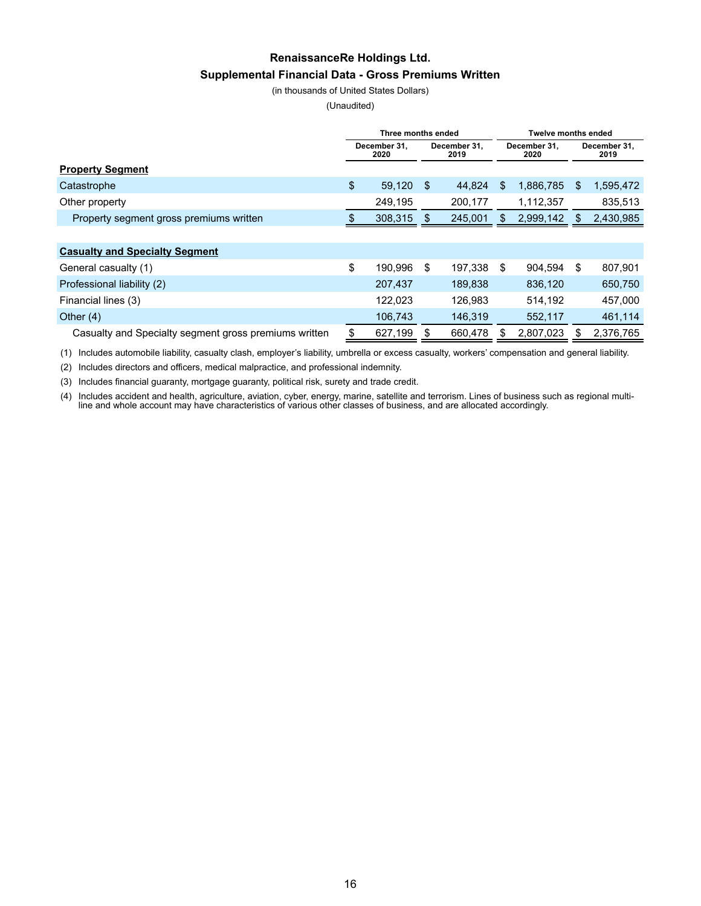## **RenaissanceRe Holdings Ltd. Supplemental Financial Data - Gross Premiums Written**

(in thousands of United States Dollars)

(Unaudited)

|                                                       | Three months ended |                                              |         |         | Twelve months ended  |           |                      |           |  |
|-------------------------------------------------------|--------------------|----------------------------------------------|---------|---------|----------------------|-----------|----------------------|-----------|--|
|                                                       |                    | December 31.<br>December 31.<br>2020<br>2019 |         |         | December 31,<br>2020 |           | December 31,<br>2019 |           |  |
| <b>Property Segment</b>                               |                    |                                              |         |         |                      |           |                      |           |  |
| Catastrophe                                           | \$                 | 59,120                                       | \$      | 44.824  | \$.                  | 1,886,785 | \$                   | 1,595,472 |  |
| Other property                                        |                    | 249,195                                      |         | 200,177 |                      | 1,112,357 |                      | 835,513   |  |
| Property segment gross premiums written               |                    | 308,315                                      | 245,001 |         | 2,999,142            |           | S                    | 2,430,985 |  |
|                                                       |                    |                                              |         |         |                      |           |                      |           |  |
| <b>Casualty and Specialty Segment</b>                 |                    |                                              |         |         |                      |           |                      |           |  |
| General casualty (1)                                  | \$                 | 190.996                                      | \$      | 197.338 | \$                   | 904.594   | \$                   | 807,901   |  |
| Professional liability (2)                            |                    | 207,437                                      |         | 189,838 |                      | 836,120   |                      | 650,750   |  |
| Financial lines (3)                                   |                    | 122,023                                      |         | 126,983 |                      | 514,192   |                      | 457,000   |  |
| Other $(4)$                                           |                    | 106,743                                      |         | 146,319 |                      | 552,117   |                      | 461,114   |  |
| Casualty and Specialty segment gross premiums written |                    | 627,199                                      |         | 660,478 |                      | 2,807,023 | \$                   | 2,376,765 |  |

(1) Includes automobile liability, casualty clash, employer's liability, umbrella or excess casualty, workers' compensation and general liability.

(2) Includes directors and officers, medical malpractice, and professional indemnity.

(3) Includes financial guaranty, mortgage guaranty, political risk, surety and trade credit.

(4) Includes accident and health, agriculture, aviation, cyber, energy, marine, satellite and terrorism. Lines of business such as regional multiline and whole account may have characteristics of various other classes of business, and are allocated accordingly.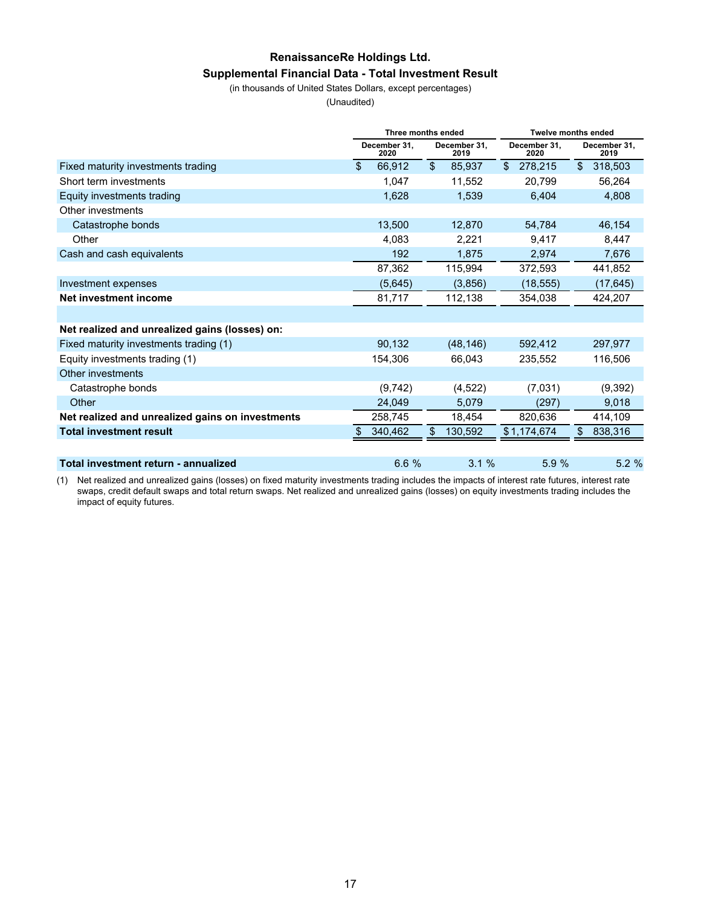## **RenaissanceRe Holdings Ltd. Supplemental Financial Data - Total Investment Result**

(in thousands of United States Dollars, except percentages)

(Unaudited)

|                                                  |                | Three months ended   |                         |                      | <b>Twelve months ended</b> |                      |    |                      |  |
|--------------------------------------------------|----------------|----------------------|-------------------------|----------------------|----------------------------|----------------------|----|----------------------|--|
|                                                  |                | December 31,<br>2020 |                         | December 31,<br>2019 |                            | December 31.<br>2020 |    | December 31,<br>2019 |  |
| Fixed maturity investments trading               | $\mathfrak{S}$ | 66,912               | $\sqrt[6]{\frac{1}{2}}$ | 85,937               | $\mathbb{S}$               | 278,215              | \$ | 318,503              |  |
| Short term investments                           |                | 1,047                |                         | 11.552               |                            | 20,799               |    | 56,264               |  |
| Equity investments trading                       |                | 1,628                |                         | 1,539                |                            | 6,404                |    | 4,808                |  |
| Other investments                                |                |                      |                         |                      |                            |                      |    |                      |  |
| Catastrophe bonds                                |                | 13,500               |                         | 12,870               |                            | 54.784               |    | 46,154               |  |
| Other                                            |                | 4,083                |                         | 2,221                |                            | 9,417                |    | 8,447                |  |
| Cash and cash equivalents                        |                | 192                  |                         | 1,875                |                            | 2,974                |    | 7,676                |  |
|                                                  |                | 87,362               |                         | 115,994              |                            | 372,593              |    | 441,852              |  |
| Investment expenses                              |                | (5,645)              |                         | (3,856)              |                            | (18, 555)            |    | (17, 645)            |  |
| Net investment income                            |                | 81,717               |                         | 112,138              |                            | 354,038              |    | 424,207              |  |
|                                                  |                |                      |                         |                      |                            |                      |    |                      |  |
| Net realized and unrealized gains (losses) on:   |                |                      |                         |                      |                            |                      |    |                      |  |
| Fixed maturity investments trading (1)           |                | 90.132               |                         | (48, 146)            |                            | 592,412              |    | 297,977              |  |
| Equity investments trading (1)                   |                | 154,306              |                         | 66.043               |                            | 235,552              |    | 116,506              |  |
| Other investments                                |                |                      |                         |                      |                            |                      |    |                      |  |
| Catastrophe bonds                                |                | (9,742)              |                         | (4, 522)             |                            | (7,031)              |    | (9, 392)             |  |
| Other                                            |                | 24,049               |                         | 5,079                |                            | (297)                |    | 9,018                |  |
| Net realized and unrealized gains on investments |                | 258,745              |                         | 18,454               |                            | 820,636              |    | 414,109              |  |
| <b>Total investment result</b>                   |                | 340,462              | \$                      | 130,592              |                            | \$1,174,674          | \$ | 838,316              |  |
|                                                  |                |                      |                         |                      |                            |                      |    |                      |  |
| Total investment return - annualized             |                | 6.6%                 |                         | 3.1%                 |                            | 5.9%                 |    | 5.2%                 |  |

(1) Net realized and unrealized gains (losses) on fixed maturity investments trading includes the impacts of interest rate futures, interest rate swaps, credit default swaps and total return swaps. Net realized and unrealized gains (losses) on equity investments trading includes the impact of equity futures.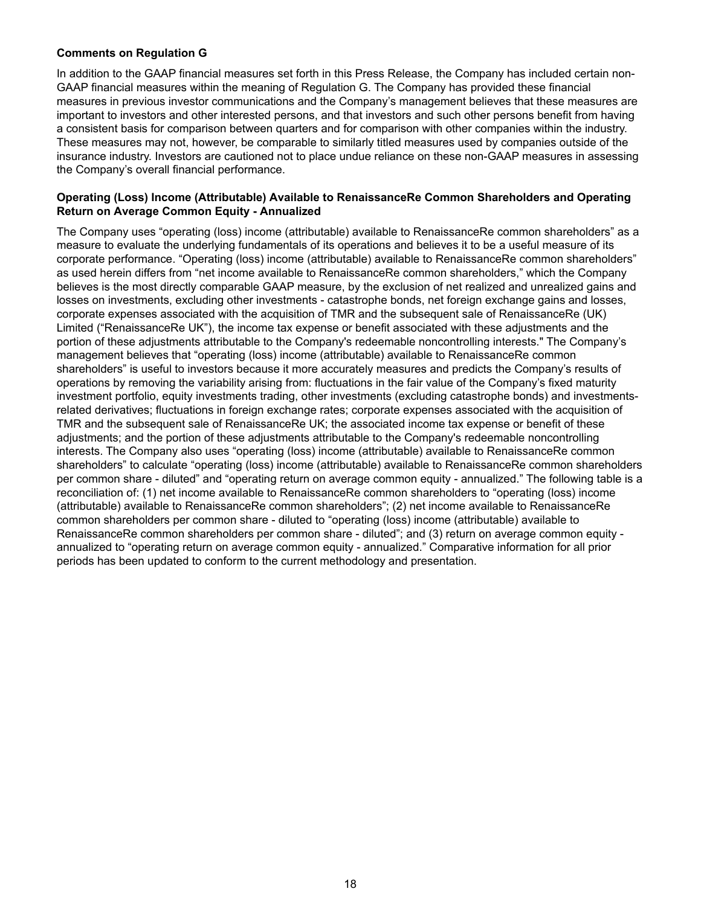#### **Comments on Regulation G**

In addition to the GAAP financial measures set forth in this Press Release, the Company has included certain non-GAAP financial measures within the meaning of Regulation G. The Company has provided these financial measures in previous investor communications and the Company's management believes that these measures are important to investors and other interested persons, and that investors and such other persons benefit from having a consistent basis for comparison between quarters and for comparison with other companies within the industry. These measures may not, however, be comparable to similarly titled measures used by companies outside of the insurance industry. Investors are cautioned not to place undue reliance on these non-GAAP measures in assessing the Company's overall financial performance.

#### **Operating (Loss) Income (Attributable) Available to RenaissanceRe Common Shareholders and Operating Return on Average Common Equity - Annualized**

The Company uses "operating (loss) income (attributable) available to RenaissanceRe common shareholders" as a measure to evaluate the underlying fundamentals of its operations and believes it to be a useful measure of its corporate performance. "Operating (loss) income (attributable) available to RenaissanceRe common shareholders" as used herein differs from "net income available to RenaissanceRe common shareholders," which the Company believes is the most directly comparable GAAP measure, by the exclusion of net realized and unrealized gains and losses on investments, excluding other investments - catastrophe bonds, net foreign exchange gains and losses, corporate expenses associated with the acquisition of TMR and the subsequent sale of RenaissanceRe (UK) Limited ("RenaissanceRe UK"), the income tax expense or benefit associated with these adjustments and the portion of these adjustments attributable to the Company's redeemable noncontrolling interests." The Company's management believes that "operating (loss) income (attributable) available to RenaissanceRe common shareholders" is useful to investors because it more accurately measures and predicts the Company's results of operations by removing the variability arising from: fluctuations in the fair value of the Company's fixed maturity investment portfolio, equity investments trading, other investments (excluding catastrophe bonds) and investmentsrelated derivatives; fluctuations in foreign exchange rates; corporate expenses associated with the acquisition of TMR and the subsequent sale of RenaissanceRe UK; the associated income tax expense or benefit of these adjustments; and the portion of these adjustments attributable to the Company's redeemable noncontrolling interests. The Company also uses "operating (loss) income (attributable) available to RenaissanceRe common shareholders" to calculate "operating (loss) income (attributable) available to RenaissanceRe common shareholders per common share - diluted" and "operating return on average common equity - annualized." The following table is a reconciliation of: (1) net income available to RenaissanceRe common shareholders to "operating (loss) income (attributable) available to RenaissanceRe common shareholders"; (2) net income available to RenaissanceRe common shareholders per common share - diluted to "operating (loss) income (attributable) available to RenaissanceRe common shareholders per common share - diluted"; and (3) return on average common equity annualized to "operating return on average common equity - annualized." Comparative information for all prior periods has been updated to conform to the current methodology and presentation.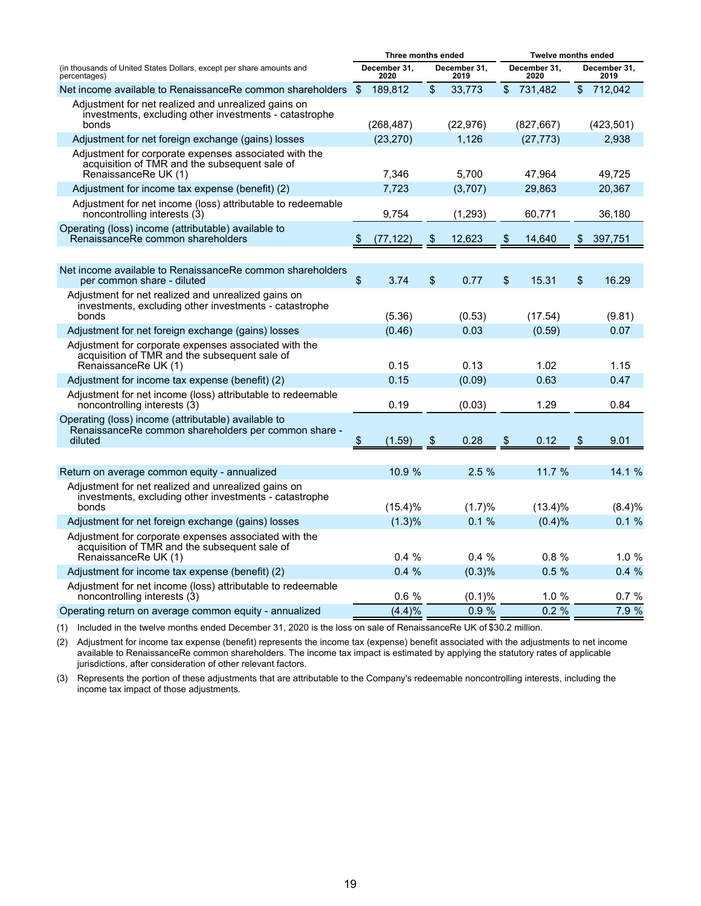|                                                                                                                                | Three months ended |                      |    |                      | <b>Twelve months ended</b> |                      |                |                      |  |
|--------------------------------------------------------------------------------------------------------------------------------|--------------------|----------------------|----|----------------------|----------------------------|----------------------|----------------|----------------------|--|
| (in thousands of United States Dollars, except per share amounts and<br>percentages)                                           |                    | December 31.<br>2020 |    | December 31,<br>2019 |                            | December 31.<br>2020 |                | December 31,<br>2019 |  |
| Net income available to RenaissanceRe common shareholders                                                                      | - \$               | 189,812              | \$ | 33,773               |                            | \$731,482            | $\mathfrak{S}$ | 712,042              |  |
| Adjustment for net realized and unrealized gains on<br>investments, excluding other investments - catastrophe<br>bonds         |                    | (268, 487)           |    | (22, 976)            |                            | (827, 667)           |                | (423, 501)           |  |
| Adjustment for net foreign exchange (gains) losses                                                                             |                    | (23, 270)            |    | 1,126                |                            | (27, 773)            |                | 2,938                |  |
| Adjustment for corporate expenses associated with the<br>acquisition of TMR and the subsequent sale of<br>RenaissanceRe UK (1) |                    | 7,346                |    | 5,700                |                            | 47,964               |                | 49,725               |  |
| Adjustment for income tax expense (benefit) (2)                                                                                |                    | 7.723                |    | (3,707)              |                            | 29,863               |                | 20,367               |  |
| Adjustment for net income (loss) attributable to redeemable<br>noncontrolling interests (3)                                    |                    | 9,754                |    | (1, 293)             |                            | 60,771               |                | 36,180               |  |
| Operating (loss) income (attributable) available to<br>RenaissanceRe common shareholders                                       | \$                 | (77, 122)            | \$ | 12,623               | \$                         | 14,640               | \$             | 397,751              |  |
|                                                                                                                                |                    |                      |    |                      |                            |                      |                |                      |  |
| Net income available to RenaissanceRe common shareholders<br>per common share - diluted                                        | \$                 | 3.74                 | \$ | 0.77                 | \$                         | 15.31                | \$             | 16.29                |  |
| Adjustment for net realized and unrealized gains on<br>investments, excluding other investments - catastrophe<br>bonds         |                    | (5.36)               |    | (0.53)               |                            | (17.54)              |                | (9.81)               |  |
| Adjustment for net foreign exchange (gains) losses                                                                             |                    | (0.46)               |    | 0.03                 |                            | (0.59)               |                | 0.07                 |  |
| Adjustment for corporate expenses associated with the<br>acquisition of TMR and the subsequent sale of<br>RenaissanceRe UK (1) |                    | 0.15                 |    | 0.13                 |                            | 1.02                 |                | 1.15                 |  |
| Adjustment for income tax expense (benefit) (2)                                                                                |                    | 0.15                 |    | (0.09)               |                            | 0.63                 |                | 0.47                 |  |
| Adjustment for net income (loss) attributable to redeemable<br>noncontrolling interests (3)                                    |                    | 0.19                 |    | (0.03)               |                            | 1.29                 |                | 0.84                 |  |
| Operating (loss) income (attributable) available to<br>RenaissanceRe common shareholders per common share -<br>diluted         | \$                 | (1.59)               | \$ | 0.28                 | \$                         | 0.12                 | \$             | 9.01                 |  |
|                                                                                                                                |                    |                      |    |                      |                            |                      |                |                      |  |
| Return on average common equity - annualized                                                                                   |                    | 10.9 %               |    | 2.5%                 |                            | 11.7 %               |                | 14.1 %               |  |
| Adjustment for net realized and unrealized gains on<br>investments, excluding other investments - catastrophe<br>bonds         |                    | $(15.4)\%$           |    | (1.7)%               |                            | $(13.4)\%$           |                | (8.4)%               |  |
| Adjustment for net foreign exchange (gains) losses                                                                             |                    | (1.3)%               |    | 0.1%                 |                            | (0.4)%               |                | 0.1%                 |  |
| Adjustment for corporate expenses associated with the<br>acquisition of TMR and the subsequent sale of<br>RenaissanceRe UK (1) |                    | $0.4\%$              |    | $0.4\%$              |                            | $0.8 \%$             |                | 1.0%                 |  |
| Adjustment for income tax expense (benefit) (2)                                                                                |                    | 0.4%                 |    | (0.3)%               |                            | 0.5%                 |                | 0.4%                 |  |
| Adjustment for net income (loss) attributable to redeemable<br>noncontrolling interests (3)                                    |                    | 0.6%                 |    | (0.1)%               |                            | 1.0%                 |                | 0.7%                 |  |
| Operating return on average common equity - annualized                                                                         |                    | (4.4)%               |    | 0.9%                 |                            | 0.2%                 |                | 7.9 %                |  |

(1) Included in the twelve months ended December 31, 2020 is the loss on sale of RenaissanceRe UK of \$30.2 million.

(2) Adjustment for income tax expense (benefit) represents the income tax (expense) benefit associated with the adjustments to net income available to RenaissanceRe common shareholders. The income tax impact is estimated by applying the statutory rates of applicable jurisdictions, after consideration of other relevant factors.

(3) Represents the portion of these adjustments that are attributable to the Company's redeemable noncontrolling interests, including the income tax impact of those adjustments.